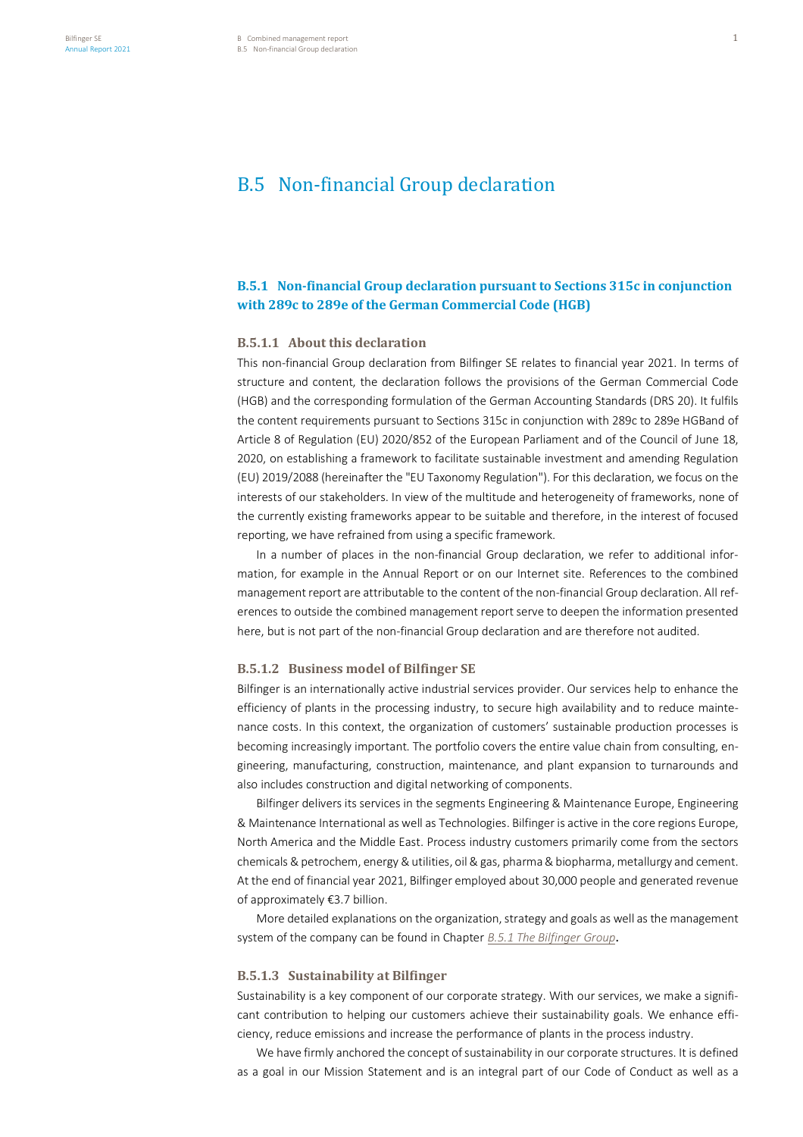# B.5 Non-financial Group declaration

## **B.5.1** Non-financial Group declaration pursuant to Sections 315c in conjunction **with 289c to 289e of the German Commercial Code (HGB)**

### **B.5.1.1** About this declaration

This non-financial Group declaration from Bilfinger SE relates to financial year 2021. In terms of structure and content, the declaration follows the provisions of the German Commercial Code (HGB) and the corresponding formulation of the German Accounting Standards (DRS 20). It fulfils the content requirements pursuant to Sections 315c in conjunction with 289c to 289e HGBand of Article 8 of Regulation (EU) 2020/852 of the European Parliament and of the Council of June 18, 2020, on establishing a framework to facilitate sustainable investment and amending Regulation (EU) 2019/2088 (hereinafter the "EU Taxonomy Regulation"). For this declaration, we focus on the interests of our stakeholders. In view of the multitude and heterogeneity of frameworks, none of the currently existing frameworks appear to be suitable and therefore, in the interest of focused reporting, we have refrained from using a specific framework.

In a number of places in the non-financial Group declaration, we refer to additional information, for example in the Annual Report or on our Internet site. References to the combined management report are attributable to the content of the non-financial Group declaration. All references to outside the combined management report serve to deepen the information presented here, but is not part of the non-financial Group declaration and are therefore not audited.

## **B.5.1.2** Business model of Bilfinger SE

Bilfinger is an internationally active industrial services provider. Our services help to enhance the efficiency of plants in the processing industry, to secure high availability and to reduce maintenance costs. In this context, the organization of customers' sustainable production processes is becoming increasingly important. The portfolio covers the entire value chain from consulting, engineering, manufacturing, construction, maintenance, and plant expansion to turnarounds and also includes construction and digital networking of components.

Bilfinger delivers its services in the segments Engineering & Maintenance Europe, Engineering & Maintenance International as well as Technologies. Bilfinger is active in the core regions Europe, North America and the Middle East. Process industry customers primarily come from the sectors chemicals & petrochem, energy & utilities, oil & gas, pharma & biopharma, metallurgy and cement. At the end of financial year 2021, Bilfinger employed about 30,000 people and generated revenue of approximately €3.7 billion.

More detailed explanations on the organization, strategy and goals as well as the management system of the company can be found in Chapter *B.5.1 The Bilfinger Group*.

## **B.5.1.3** Sustainability at Bilfinger

Sustainability is a key component of our corporate strategy. With our services, we make a significant contribution to helping our customers achieve their sustainability goals. We enhance efficiency, reduce emissions and increase the performance of plants in the process industry.

We have firmly anchored the concept of sustainability in our corporate structures. It is defined as a goal in our Mission Statement and is an integral part of our Code of Conduct as well as a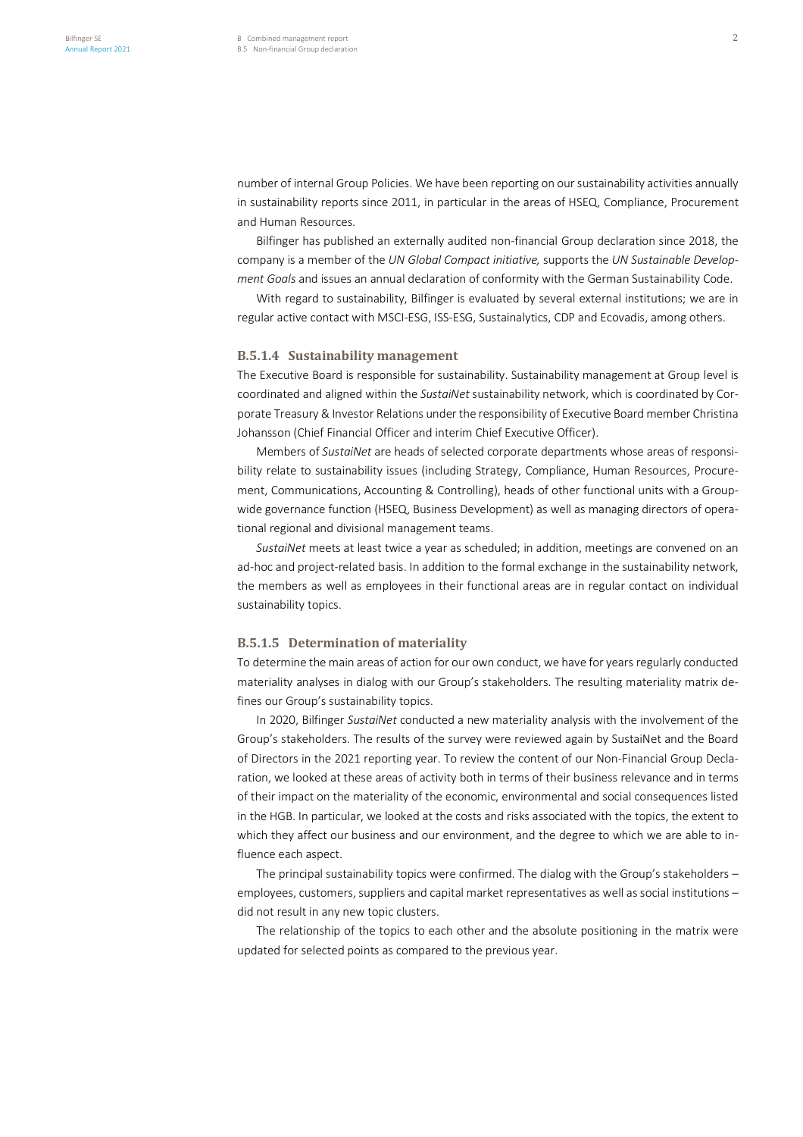number of internal Group Policies. We have been reporting on our sustainability activities annually in sustainability reports since 2011, in particular in the areas of HSEQ, Compliance, Procurement and Human Resources.

Bilfinger has published an externally audited non-financial Group declaration since 2018, the company is a member of the *UN Global Compact initiative,* supports the *UN Sustainable Development Goals* and issues an annual declaration of conformity with the German Sustainability Code.

With regard to sustainability, Bilfinger is evaluated by several external institutions; we are in regular active contact with MSCI-ESG, ISS-ESG, Sustainalytics, CDP and Ecovadis, among others.

## **B.5.1.4** Sustainability management

The Executive Board is responsible for sustainability. Sustainability management at Group level is coordinated and aligned within the *SustaiNet* sustainability network, which is coordinated by Corporate Treasury & Investor Relations under the responsibility of Executive Board member Christina Johansson (Chief Financial Officer and interim Chief Executive Officer).

Members of *SustaiNet* are heads of selected corporate departments whose areas of responsibility relate to sustainability issues (including Strategy, Compliance, Human Resources, Procurement, Communications, Accounting & Controlling), heads of other functional units with a Groupwide governance function (HSEQ, Business Development) as well as managing directors of operational regional and divisional management teams.

*SustaiNet* meets at least twice a year as scheduled; in addition, meetings are convened on an ad-hoc and project-related basis. In addition to the formal exchange in the sustainability network, the members as well as employees in their functional areas are in regular contact on individual sustainability topics.

### **B.5.1.5** Determination of materiality

To determine the main areas of action for our own conduct, we have for years regularly conducted materiality analyses in dialog with our Group's stakeholders. The resulting materiality matrix defines our Group's sustainability topics.

In 2020, Bilfinger *SustaiNet* conducted a new materiality analysis with the involvement of the Group's stakeholders. The results of the survey were reviewed again by SustaiNet and the Board of Directors in the 2021 reporting year. To review the content of our Non-Financial Group Declaration, we looked at these areas of activity both in terms of their business relevance and in terms of their impact on the materiality of the economic, environmental and social consequences listed in the HGB. In particular, we looked at the costs and risks associated with the topics, the extent to which they affect our business and our environment, and the degree to which we are able to influence each aspect.

The principal sustainability topics were confirmed. The dialog with the Group's stakeholders – employees, customers, suppliers and capital market representatives as well as social institutions – did not result in any new topic clusters.

The relationship of the topics to each other and the absolute positioning in the matrix were updated for selected points as compared to the previous year.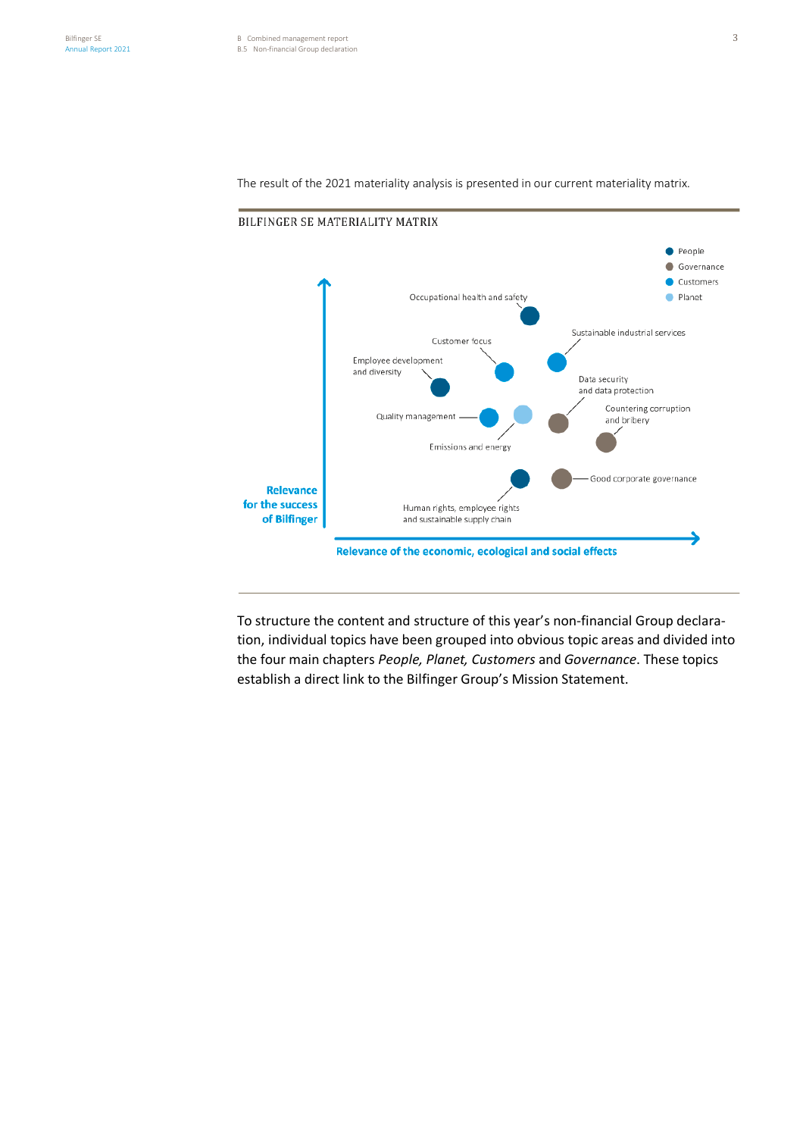

The result of the 2021 materiality analysis is presented in our current materiality matrix.

### BILFINGER SE MATERIALITY MATRIX

To structure the content and structure of this year's non-financial Group declaration, individual topics have been grouped into obvious topic areas and divided into the four main chapters *People, Planet, Customers* and *Governance*. These topics establish a direct link to the Bilfinger Group's Mission Statement.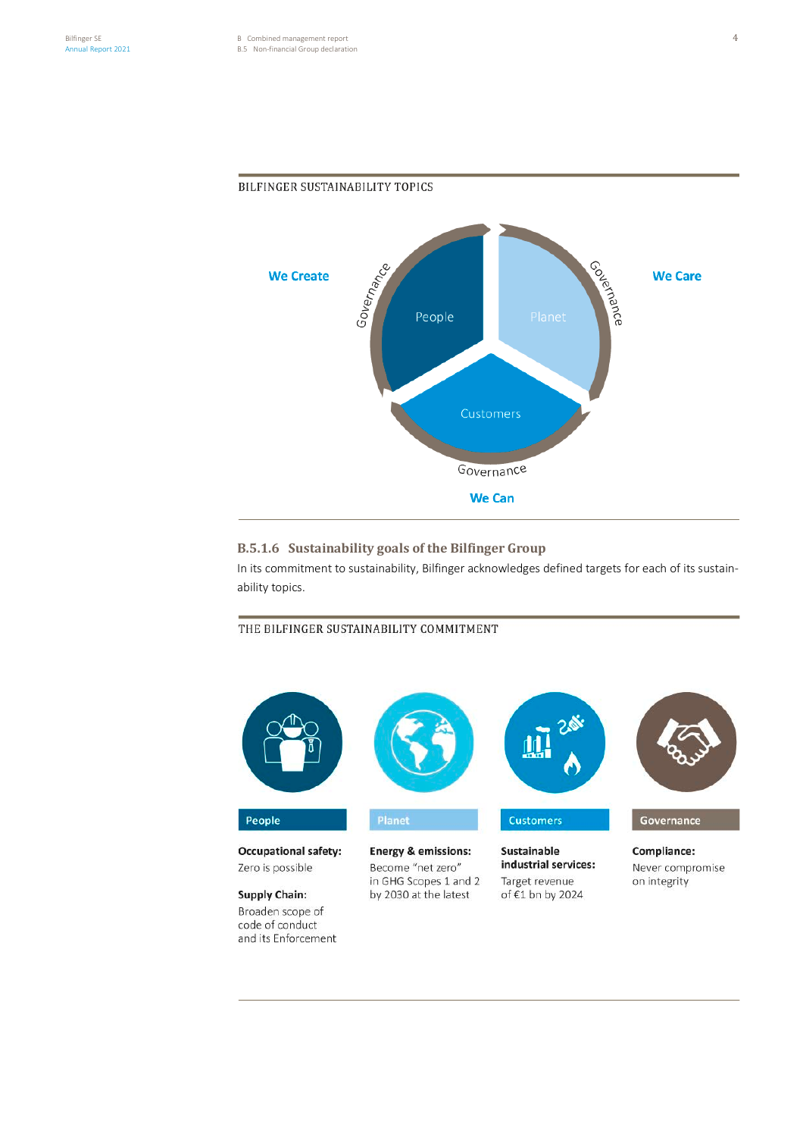## BILFINGER SUSTAINABILITY TOPICS



## **B.5.1.6** Sustainability goals of the Bilfinger Group

In its commitment to sustainability, Bilfinger acknowledges defined targets for each of its sustainability topics.

## THE BILFINGER SUSTAINABILITY COMMITMENT



**Occupational safety:** Zero is possible

## **Supply Chain:**

Broaden scope of code of conduct and its Enforcement **Energy & emissions:** Sustainable industrial services: Become "net zero" in GHG Scopes 1 and 2 Target revenue by 2030 at the latest of €1 bn by 2024

Compliance: Never compromise on integrity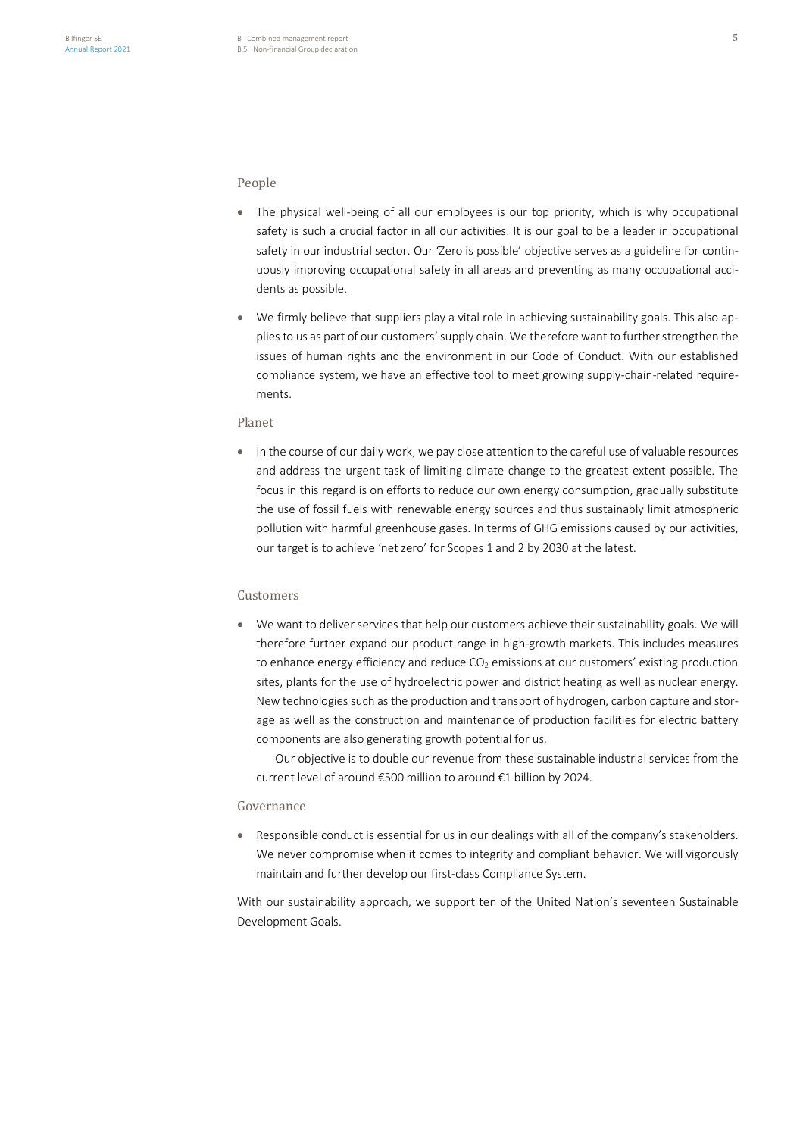## People

- The physical well-being of all our employees is our top priority, which is why occupational safety is such a crucial factor in all our activities. It is our goal to be a leader in occupational safety in our industrial sector. Our 'Zero is possible' objective serves as a guideline for continuously improving occupational safety in all areas and preventing as many occupational accidents as possible.
- We firmly believe that suppliers play a vital role in achieving sustainability goals. This also applies to us as part of our customers' supply chain. We therefore want to further strengthen the issues of human rights and the environment in our Code of Conduct. With our established compliance system, we have an effective tool to meet growing supply-chain-related requirements.

## Planet

• In the course of our daily work, we pay close attention to the careful use of valuable resources and address the urgent task of limiting climate change to the greatest extent possible. The focus in this regard is on efforts to reduce our own energy consumption, gradually substitute the use of fossil fuels with renewable energy sources and thus sustainably limit atmospheric pollution with harmful greenhouse gases. In terms of GHG emissions caused by our activities, our target is to achieve 'net zero' for Scopes 1 and 2 by 2030 at the latest.

### Customers

• We want to deliver services that help our customers achieve their sustainability goals. We will therefore further expand our product range in high-growth markets. This includes measures to enhance energy efficiency and reduce  $CO<sub>2</sub>$  emissions at our customers' existing production sites, plants for the use of hydroelectric power and district heating as well as nuclear energy. New technologies such as the production and transport of hydrogen, carbon capture and storage as well as the construction and maintenance of production facilities for electric battery components are also generating growth potential for us.

Our objective is to double our revenue from these sustainable industrial services from the current level of around €500 million to around €1 billion by 2024.

## Governance

• Responsible conduct is essential for us in our dealings with all of the company's stakeholders. We never compromise when it comes to integrity and compliant behavior. We will vigorously maintain and further develop our first-class Compliance System.

With our sustainability approach, we support ten of the United Nation's seventeen Sustainable Development Goals.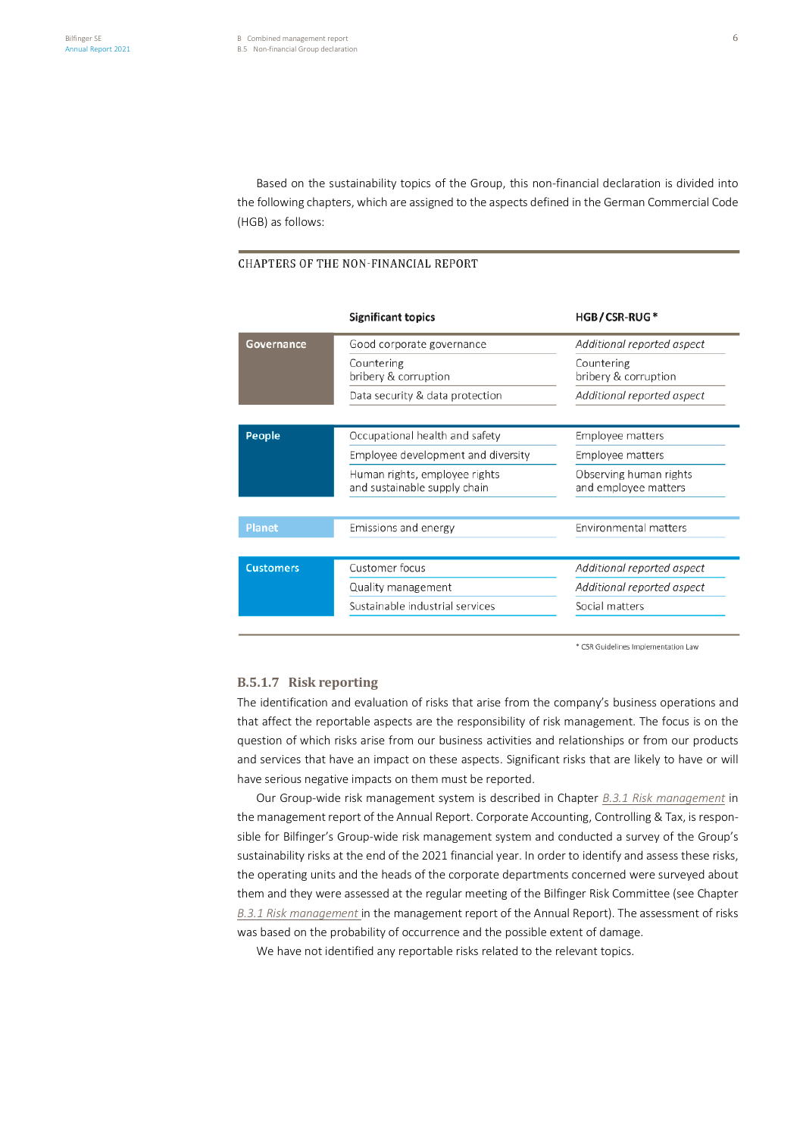Based on the sustainability topics of the Group, this non-financial declaration is divided into the following chapters, which are assigned to the aspects defined in the German Commercial Code (HGB) as follows:

## **CHAPTERS OF THE NON-FINANCIAL REPORT**

|                  | <b>Significant topics</b>                                     | <b>HGB/CSR-RUG*</b>                            |
|------------------|---------------------------------------------------------------|------------------------------------------------|
| Governance       | Good corporate governance                                     | Additional reported aspect                     |
|                  | Countering<br>bribery & corruption                            | Countering<br>bribery & corruption             |
|                  | Data security & data protection                               | Additional reported aspect                     |
|                  |                                                               |                                                |
| People           | Occupational health and safety                                | Employee matters                               |
|                  | Employee development and diversity                            | Employee matters                               |
|                  | Human rights, employee rights<br>and sustainable supply chain | Observing human rights<br>and employee matters |
|                  |                                                               |                                                |
| <b>Planet</b>    | Emissions and energy                                          | Environmental matters                          |
|                  |                                                               |                                                |
| <b>Customers</b> | Customer focus                                                | Additional reported aspect                     |
|                  | Quality management                                            | Additional reported aspect                     |
|                  | Sustainable industrial services                               | Social matters                                 |

\* CSR Guidelines Implementation Law

## **B.5.1.7** Risk reporting

The identification and evaluation of risks that arise from the company's business operations and that affect the reportable aspects are the responsibility of risk management. The focus is on the question of which risks arise from our business activities and relationships or from our products and services that have an impact on these aspects. Significant risks that are likely to have or will have serious negative impacts on them must be reported.

Our Group-wide risk management system is described in Chapter *B.3.1 Risk management* in the management report of the Annual Report. Corporate Accounting, Controlling & Tax, is responsible for Bilfinger's Group-wide risk management system and conducted a survey of the Group's sustainability risks at the end of the 2021 financial year. In order to identify and assess these risks, the operating units and the heads of the corporate departments concerned were surveyed about them and they were assessed at the regular meeting of the Bilfinger Risk Committee (see Chapter *B.3.1 Risk management* in the management report of the Annual Report). The assessment of risks was based on the probability of occurrence and the possible extent of damage.

We have not identified any reportable risks related to the relevant topics.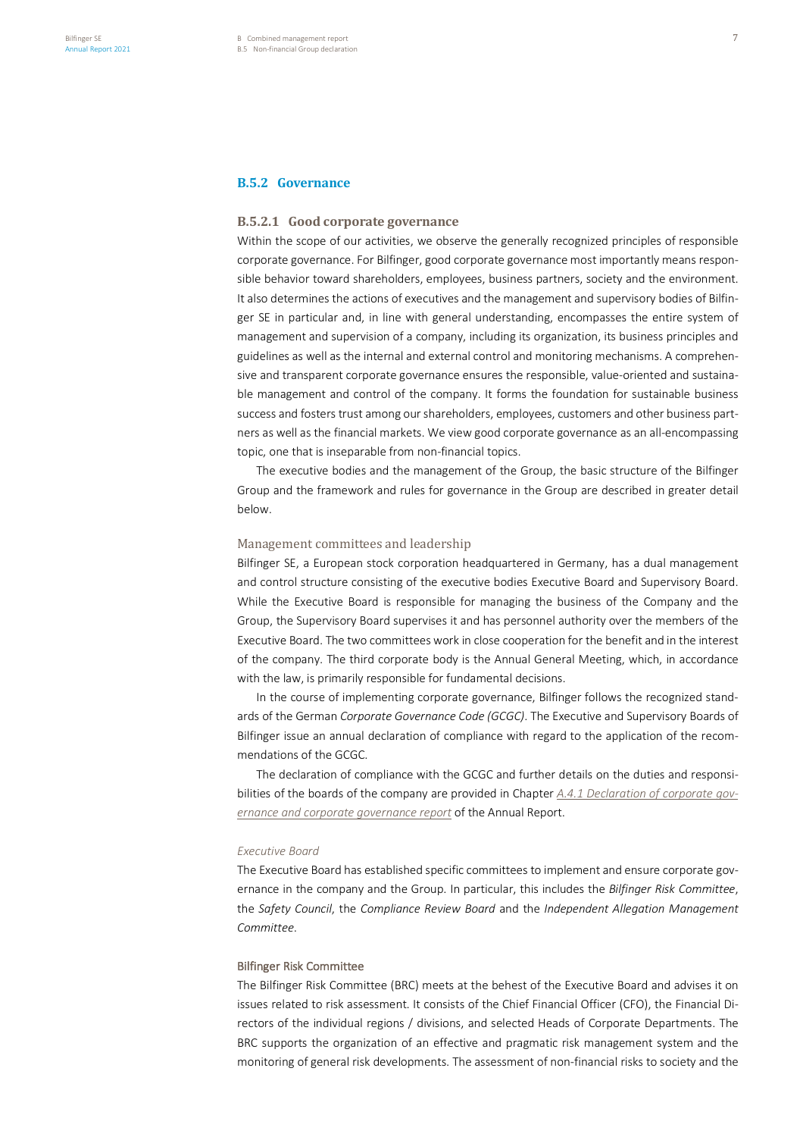## **B.5.2** Governance

## **B.5.2.1** Good corporate governance

Within the scope of our activities, we observe the generally recognized principles of responsible corporate governance. For Bilfinger, good corporate governance most importantly means responsible behavior toward shareholders, employees, business partners, society and the environment. It also determines the actions of executives and the management and supervisory bodies of Bilfinger SE in particular and, in line with general understanding, encompasses the entire system of management and supervision of a company, including its organization, its business principles and guidelines as well as the internal and external control and monitoring mechanisms. A comprehensive and transparent corporate governance ensures the responsible, value-oriented and sustainable management and control of the company. It forms the foundation for sustainable business success and fosters trust among our shareholders, employees, customers and other business partners as well as the financial markets. We view good corporate governance as an all-encompassing topic, one that is inseparable from non-financial topics.

The executive bodies and the management of the Group, the basic structure of the Bilfinger Group and the framework and rules for governance in the Group are described in greater detail below.

### Management committees and leadership

Bilfinger SE, a European stock corporation headquartered in Germany, has a dual management and control structure consisting of the executive bodies Executive Board and Supervisory Board. While the Executive Board is responsible for managing the business of the Company and the Group, the Supervisory Board supervises it and has personnel authority over the members of the Executive Board. The two committees work in close cooperation for the benefit and in the interest of the company. The third corporate body is the Annual General Meeting, which, in accordance with the law, is primarily responsible for fundamental decisions.

In the course of implementing corporate governance, Bilfinger follows the recognized standards of the German *Corporate Governance Code (GCGC)*. The Executive and Supervisory Boards of Bilfinger issue an annual declaration of compliance with regard to the application of the recommendations of the GCGC.

The declaration of compliance with the GCGC and further details on the duties and responsibilities of the boards of the company are provided in Chapter *A.4.1 Declaration of corporate governance and corporate governance report* of the Annual Report.

### *Executive Board*

The Executive Board has established specific committees to implement and ensure corporate governance in the company and the Group. In particular, this includes the *Bilfinger Risk Committee*, the *Safety Council*, the *Compliance Review Board* and the *Independent Allegation Management Committee*.

### Bilfinger Risk Committee

The Bilfinger Risk Committee (BRC) meets at the behest of the Executive Board and advises it on issues related to risk assessment. It consists of the Chief Financial Officer (CFO), the Financial Directors of the individual regions / divisions, and selected Heads of Corporate Departments. The BRC supports the organization of an effective and pragmatic risk management system and the monitoring of general risk developments. The assessment of non-financial risks to society and the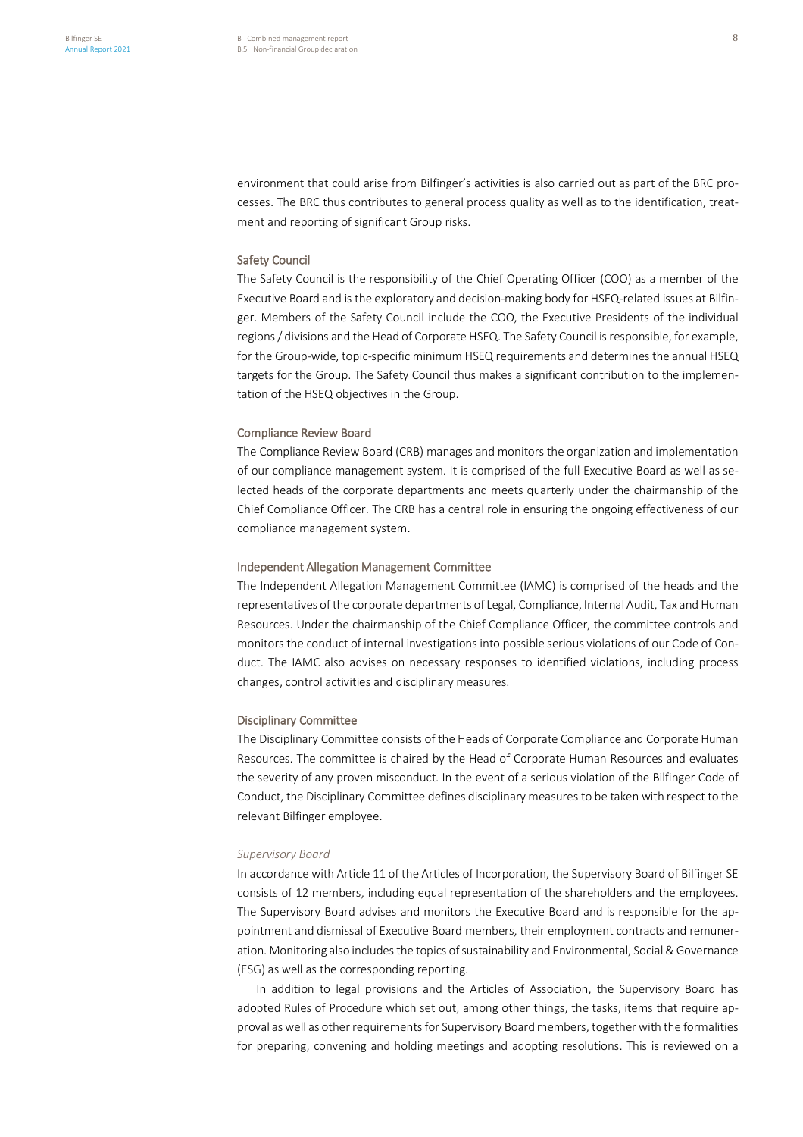## Safety Council

The Safety Council is the responsibility of the Chief Operating Officer (COO) as a member of the Executive Board and is the exploratory and decision-making body for HSEQ-related issues at Bilfinger. Members of the Safety Council include the COO, the Executive Presidents of the individual regions / divisions and the Head of Corporate HSEQ. The Safety Council is responsible, for example, for the Group-wide, topic-specific minimum HSEQ requirements and determines the annual HSEQ targets for the Group. The Safety Council thus makes a significant contribution to the implementation of the HSEQ objectives in the Group.

### Compliance Review Board

The Compliance Review Board (CRB) manages and monitors the organization and implementation of our compliance management system. It is comprised of the full Executive Board as well as selected heads of the corporate departments and meets quarterly under the chairmanship of the Chief Compliance Officer. The CRB has a central role in ensuring the ongoing effectiveness of our compliance management system.

## Independent Allegation Management Committee

The Independent Allegation Management Committee (IAMC) is comprised of the heads and the representatives of the corporate departments of Legal, Compliance, Internal Audit, Tax and Human Resources. Under the chairmanship of the Chief Compliance Officer, the committee controls and monitors the conduct of internal investigations into possible serious violations of our Code of Conduct. The IAMC also advises on necessary responses to identified violations, including process changes, control activities and disciplinary measures.

#### Disciplinary Committee

The Disciplinary Committee consists of the Heads of Corporate Compliance and Corporate Human Resources. The committee is chaired by the Head of Corporate Human Resources and evaluates the severity of any proven misconduct. In the event of a serious violation of the Bilfinger Code of Conduct, the Disciplinary Committee defines disciplinary measures to be taken with respect to the relevant Bilfinger employee.

#### *Supervisory Board*

In accordance with Article 11 of the Articles of Incorporation, the Supervisory Board of Bilfinger SE consists of 12 members, including equal representation of the shareholders and the employees. The Supervisory Board advises and monitors the Executive Board and is responsible for the appointment and dismissal of Executive Board members, their employment contracts and remuneration. Monitoring also includes the topics of sustainability and Environmental, Social & Governance (ESG) as well as the corresponding reporting.

In addition to legal provisions and the Articles of Association, the Supervisory Board has adopted Rules of Procedure which set out, among other things, the tasks, items that require approval as well as other requirements for Supervisory Board members, together with the formalities for preparing, convening and holding meetings and adopting resolutions. This is reviewed on a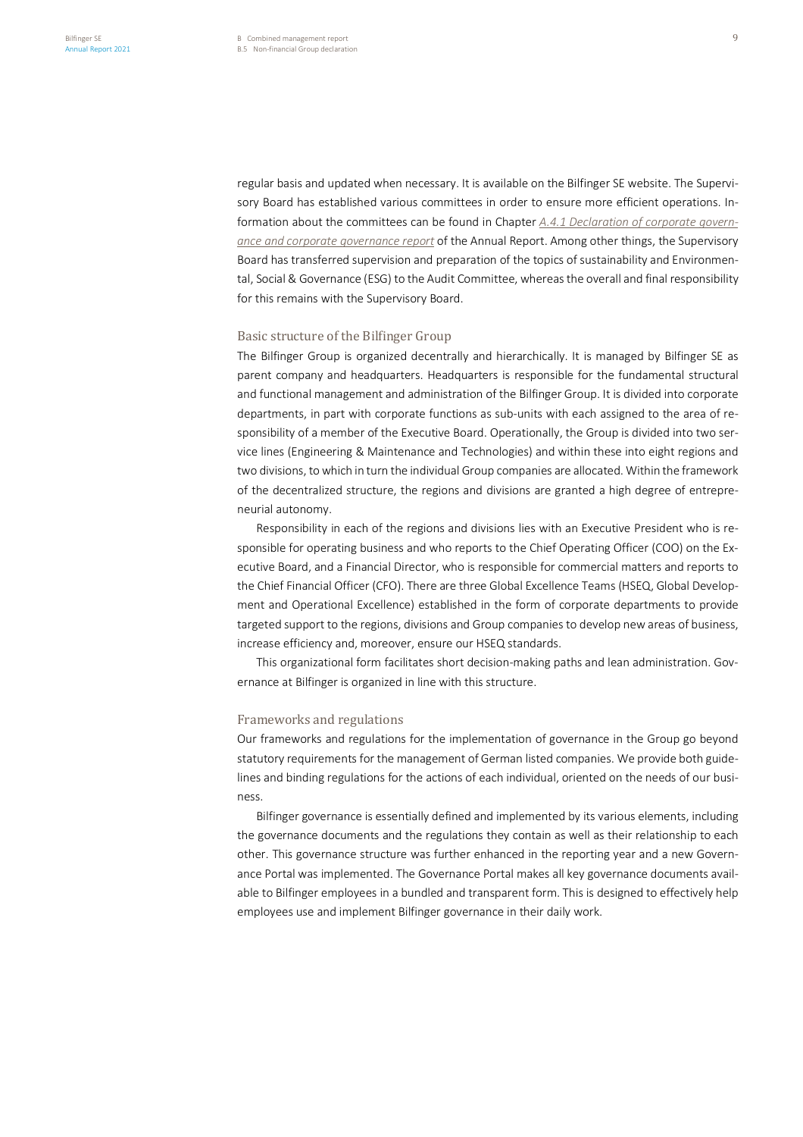regular basis and updated when necessary. It is available on the Bilfinger SE website. The Supervisory Board has established various committees in order to ensure more efficient operations. Information about the committees can be found in Chapter *A.4.1 Declaration of corporate governance and corporate governance report* of the Annual Report. Among other things, the Supervisory Board has transferred supervision and preparation of the topics of sustainability and Environmental, Social & Governance (ESG) to the Audit Committee, whereas the overall and final responsibility for this remains with the Supervisory Board.

## Basic structure of the Bilfinger Group

The Bilfinger Group is organized decentrally and hierarchically. It is managed by Bilfinger SE as parent company and headquarters. Headquarters is responsible for the fundamental structural and functional management and administration of the Bilfinger Group. It is divided into corporate departments, in part with corporate functions as sub-units with each assigned to the area of responsibility of a member of the Executive Board. Operationally, the Group is divided into two service lines (Engineering & Maintenance and Technologies) and within these into eight regions and two divisions, to which in turn the individual Group companies are allocated. Within the framework of the decentralized structure, the regions and divisions are granted a high degree of entrepreneurial autonomy.

Responsibility in each of the regions and divisions lies with an Executive President who is responsible for operating business and who reports to the Chief Operating Officer (COO) on the Executive Board, and a Financial Director, who is responsible for commercial matters and reports to the Chief Financial Officer (CFO). There are three Global Excellence Teams (HSEQ, Global Development and Operational Excellence) established in the form of corporate departments to provide targeted support to the regions, divisions and Group companies to develop new areas of business, increase efficiency and, moreover, ensure our HSEQ standards.

This organizational form facilitates short decision-making paths and lean administration. Governance at Bilfinger is organized in line with this structure.

## Frameworks and regulations

Our frameworks and regulations for the implementation of governance in the Group go beyond statutory requirements for the management of German listed companies. We provide both guidelines and binding regulations for the actions of each individual, oriented on the needs of our business.

Bilfinger governance is essentially defined and implemented by its various elements, including the governance documents and the regulations they contain as well as their relationship to each other. This governance structure was further enhanced in the reporting year and a new Governance Portal was implemented. The Governance Portal makes all key governance documents available to Bilfinger employees in a bundled and transparent form. This is designed to effectively help employees use and implement Bilfinger governance in their daily work.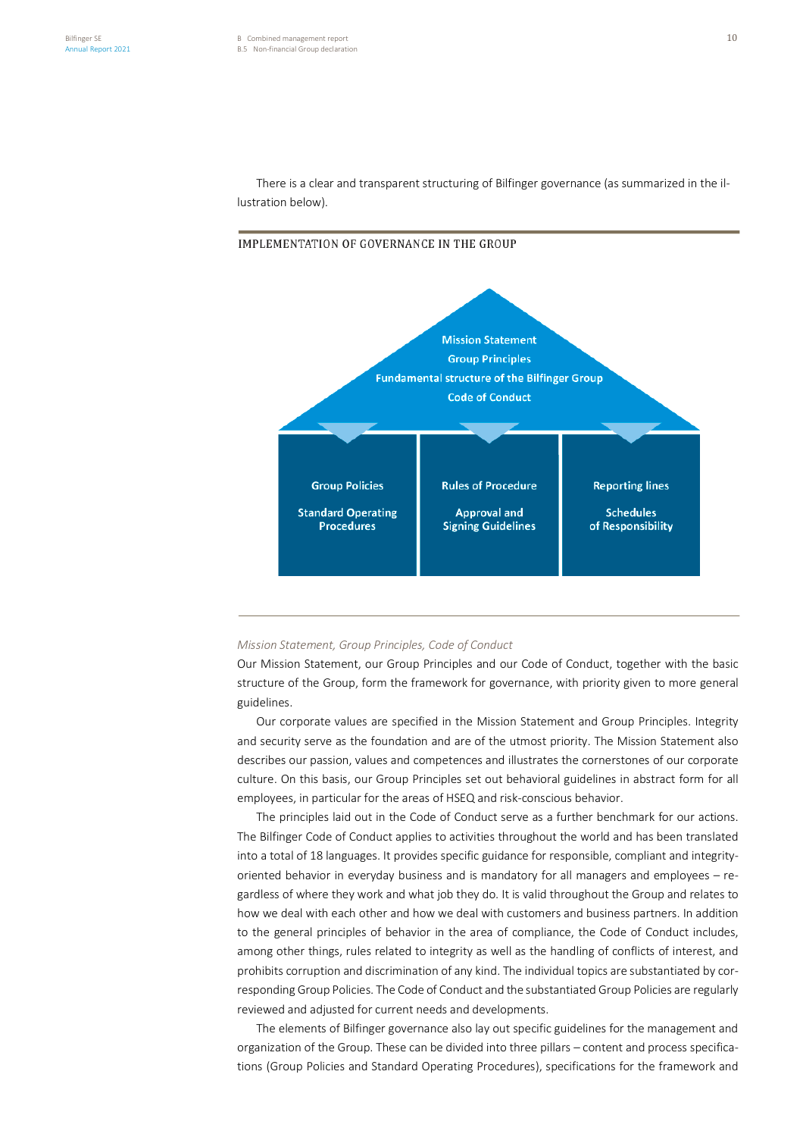There is a clear and transparent structuring of Bilfinger governance (as summarized in the illustration below).

## IMPLEMENTATION OF GOVERNANCE IN THE GROUP



## *Mission Statement, Group Principles, Code of Conduct*

Our Mission Statement, our Group Principles and our Code of Conduct, together with the basic structure of the Group, form the framework for governance, with priority given to more general guidelines.

Our corporate values are specified in the Mission Statement and Group Principles. Integrity and security serve as the foundation and are of the utmost priority. The Mission Statement also describes our passion, values and competences and illustrates the cornerstones of our corporate culture. On this basis, our Group Principles set out behavioral guidelines in abstract form for all employees, in particular for the areas of HSEQ and risk-conscious behavior.

The principles laid out in the Code of Conduct serve as a further benchmark for our actions. The Bilfinger Code of Conduct applies to activities throughout the world and has been translated into a total of 18 languages. It provides specific guidance for responsible, compliant and integrityoriented behavior in everyday business and is mandatory for all managers and employees – regardless of where they work and what job they do. It is valid throughout the Group and relates to how we deal with each other and how we deal with customers and business partners. In addition to the general principles of behavior in the area of compliance, the Code of Conduct includes, among other things, rules related to integrity as well as the handling of conflicts of interest, and prohibits corruption and discrimination of any kind. The individual topics are substantiated by corresponding Group Policies. The Code of Conduct and the substantiated Group Policies are regularly reviewed and adjusted for current needs and developments.

The elements of Bilfinger governance also lay out specific guidelines for the management and organization of the Group. These can be divided into three pillars – content and process specifications (Group Policies and Standard Operating Procedures), specifications for the framework and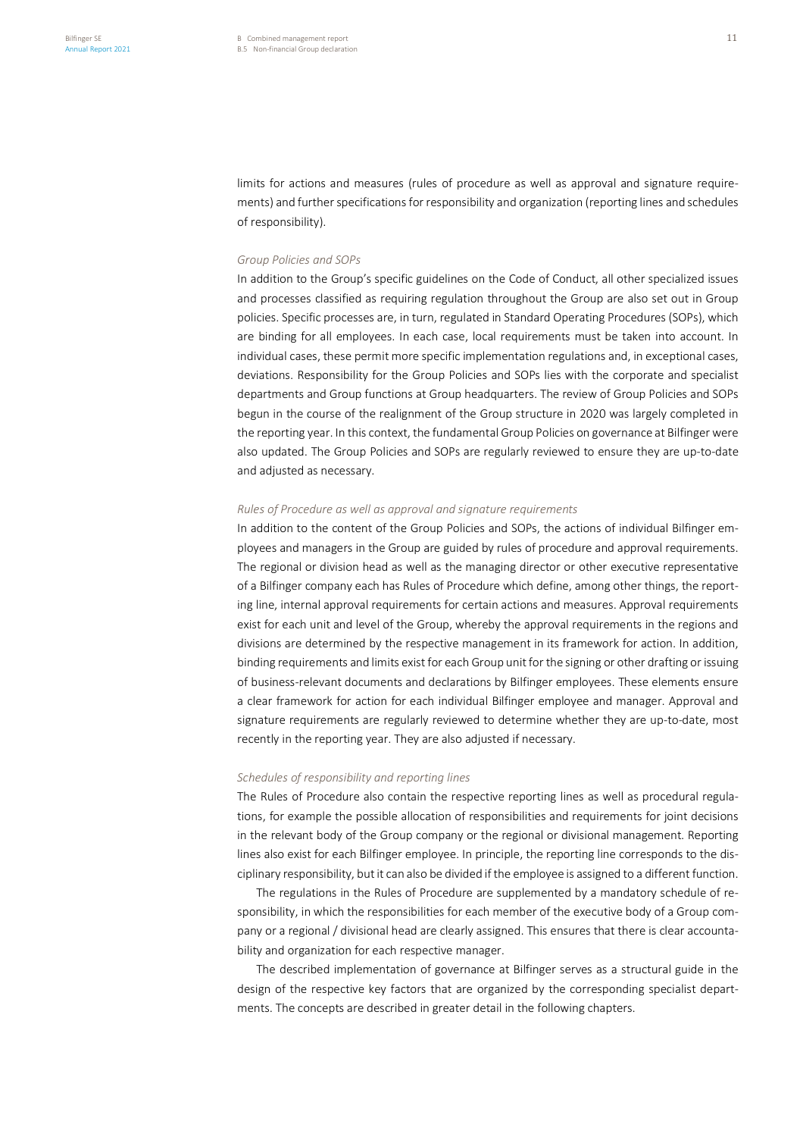limits for actions and measures (rules of procedure as well as approval and signature requirements) and further specifications for responsibility and organization (reporting lines and schedules of responsibility).

### *Group Policies and SOPs*

In addition to the Group's specific guidelines on the Code of Conduct, all other specialized issues and processes classified as requiring regulation throughout the Group are also set out in Group policies. Specific processes are, in turn, regulated in Standard Operating Procedures (SOPs), which are binding for all employees. In each case, local requirements must be taken into account. In individual cases, these permit more specific implementation regulations and, in exceptional cases, deviations. Responsibility for the Group Policies and SOPs lies with the corporate and specialist departments and Group functions at Group headquarters. The review of Group Policies and SOPs begun in the course of the realignment of the Group structure in 2020 was largely completed in the reporting year. In this context, the fundamental Group Policies on governance at Bilfinger were also updated. The Group Policies and SOPs are regularly reviewed to ensure they are up-to-date and adjusted as necessary.

## *Rules of Procedure as well as approval and signature requirements*

In addition to the content of the Group Policies and SOPs, the actions of individual Bilfinger employees and managers in the Group are guided by rules of procedure and approval requirements. The regional or division head as well as the managing director or other executive representative of a Bilfinger company each has Rules of Procedure which define, among other things, the reporting line, internal approval requirements for certain actions and measures. Approval requirements exist for each unit and level of the Group, whereby the approval requirements in the regions and divisions are determined by the respective management in its framework for action. In addition, binding requirements and limits exist for each Group unit for the signing or other drafting or issuing of business-relevant documents and declarations by Bilfinger employees. These elements ensure a clear framework for action for each individual Bilfinger employee and manager. Approval and signature requirements are regularly reviewed to determine whether they are up-to-date, most recently in the reporting year. They are also adjusted if necessary.

### *Schedules of responsibility and reporting lines*

The Rules of Procedure also contain the respective reporting lines as well as procedural regulations, for example the possible allocation of responsibilities and requirements for joint decisions in the relevant body of the Group company or the regional or divisional management. Reporting lines also exist for each Bilfinger employee. In principle, the reporting line corresponds to the disciplinary responsibility, but it can also be divided if the employee is assigned to a different function.

The regulations in the Rules of Procedure are supplemented by a mandatory schedule of responsibility, in which the responsibilities for each member of the executive body of a Group company or a regional / divisional head are clearly assigned. This ensures that there is clear accountability and organization for each respective manager.

The described implementation of governance at Bilfinger serves as a structural guide in the design of the respective key factors that are organized by the corresponding specialist departments. The concepts are described in greater detail in the following chapters.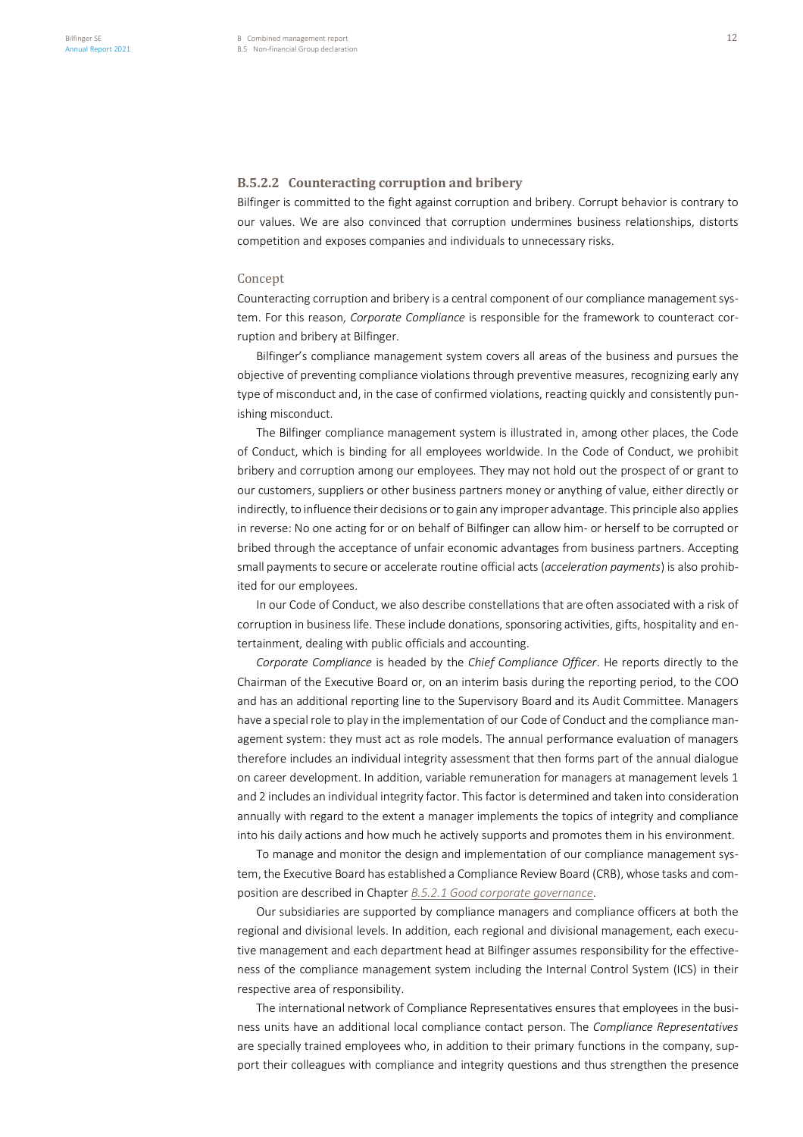## **B.5.2.2** Counteracting corruption and bribery

Bilfinger is committed to the fight against corruption and bribery. Corrupt behavior is contrary to our values. We are also convinced that corruption undermines business relationships, distorts competition and exposes companies and individuals to unnecessary risks.

#### Concept

Counteracting corruption and bribery is a central component of our compliance management system. For this reason, *Corporate Compliance* is responsible for the framework to counteract corruption and bribery at Bilfinger.

Bilfinger's compliance management system covers all areas of the business and pursues the objective of preventing compliance violations through preventive measures, recognizing early any type of misconduct and, in the case of confirmed violations, reacting quickly and consistently punishing misconduct.

The Bilfinger compliance management system is illustrated in, among other places, the Code of Conduct, which is binding for all employees worldwide. In the Code of Conduct, we prohibit bribery and corruption among our employees. They may not hold out the prospect of or grant to our customers, suppliers or other business partners money or anything of value, either directly or indirectly, to influence their decisions or to gain any improper advantage. This principle also applies in reverse: No one acting for or on behalf of Bilfinger can allow him- or herself to be corrupted or bribed through the acceptance of unfair economic advantages from business partners. Accepting small payments to secure or accelerate routine official acts (*acceleration payments*) is also prohibited for our employees.

In our Code of Conduct, we also describe constellations that are often associated with a risk of corruption in business life. These include donations, sponsoring activities, gifts, hospitality and entertainment, dealing with public officials and accounting.

*Corporate Compliance* is headed by the *Chief Compliance Officer*. He reports directly to the Chairman of the Executive Board or, on an interim basis during the reporting period, to the COO and has an additional reporting line to the Supervisory Board and its Audit Committee. Managers have a special role to play in the implementation of our Code of Conduct and the compliance management system: they must act as role models. The annual performance evaluation of managers therefore includes an individual integrity assessment that then forms part of the annual dialogue on career development. In addition, variable remuneration for managers at management levels 1 and 2 includes an individual integrity factor. This factor is determined and taken into consideration annually with regard to the extent a manager implements the topics of integrity and compliance into his daily actions and how much he actively supports and promotes them in his environment.

To manage and monitor the design and implementation of our compliance management system, the Executive Board has established a Compliance Review Board (CRB), whose tasks and composition are described in Chapter *B.5.2.1 Good corporate governance*.

Our subsidiaries are supported by compliance managers and compliance officers at both the regional and divisional levels. In addition, each regional and divisional management, each executive management and each department head at Bilfinger assumes responsibility for the effectiveness of the compliance management system including the Internal Control System (ICS) in their respective area of responsibility.

The international network of Compliance Representatives ensures that employees in the business units have an additional local compliance contact person. The *Compliance Representatives* are specially trained employees who, in addition to their primary functions in the company, support their colleagues with compliance and integrity questions and thus strengthen the presence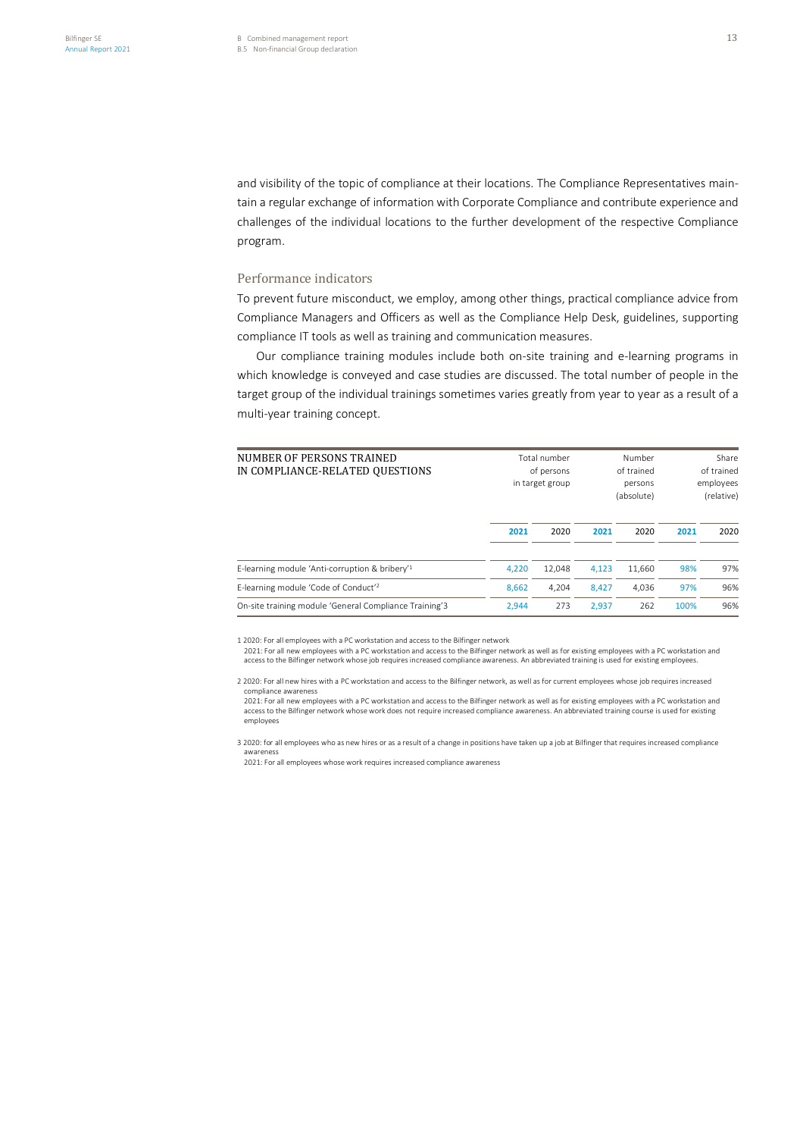and visibility of the topic of compliance at their locations. The Compliance Representatives maintain a regular exchange of information with Corporate Compliance and contribute experience and challenges of the individual locations to the further development of the respective Compliance program.

## Performance indicators

To prevent future misconduct, we employ, among other things, practical compliance advice from Compliance Managers and Officers as well as the Compliance Help Desk, guidelines, supporting compliance IT tools as well as training and communication measures.

Our compliance training modules include both on-site training and e-learning programs in which knowledge is conveyed and case studies are discussed. The total number of people in the target group of the individual trainings sometimes varies greatly from year to year as a result of a multi-year training concept.

| NUMBER OF PERSONS TRAINED<br>IN COMPLIANCE-RELATED QUESTIONS | Total number<br>of persons<br>in target group |        |       | Number<br>of trained<br>persons<br>(absolute) |      | Share<br>of trained<br>employees<br>(relative) |
|--------------------------------------------------------------|-----------------------------------------------|--------|-------|-----------------------------------------------|------|------------------------------------------------|
|                                                              | 2021                                          | 2020   | 2021  | 2020                                          | 2021 | 2020                                           |
| E-learning module 'Anti-corruption & bribery' <sup>1</sup>   | 4.220                                         | 12.048 | 4.123 | 11,660                                        | 98%  | 97%                                            |
| E-learning module 'Code of Conduct' <sup>2</sup>             | 8.662                                         | 4.204  | 8.427 | 4.036                                         | 97%  | 96%                                            |
| On-site training module 'General Compliance Training'3       | 2.944                                         | 273    | 2.937 | 262                                           | 100% | 96%                                            |

1 2020: For all employees with a PC workstation and access to the Bilfinger network

2021: For all new employees with a PC workstation and access to the Bilfinger network as well as for existing employees with a PC workstation and access to the Bilfinger network whose job requires increased compliance awareness. An abbreviated training is used for existing employees.

2 2020: For all new hires with a PC workstation and access to the Bilfinger network, as well as for current employees whose job requires increased compliance awareness

2021: For all new employees with a PC workstation and access to the Bilfinger network as well as for existing employees with a PC workstation and access to the Bilfinger network whose work does not require increased compliance awareness. An abbreviated training course is used for existing employees

3 2020: for all employees who as new hires or as a result of a change in positions have taken up a job at Bilfinger that requires increased compliance awareness 2021: For all employees whose work requires increased compliance awareness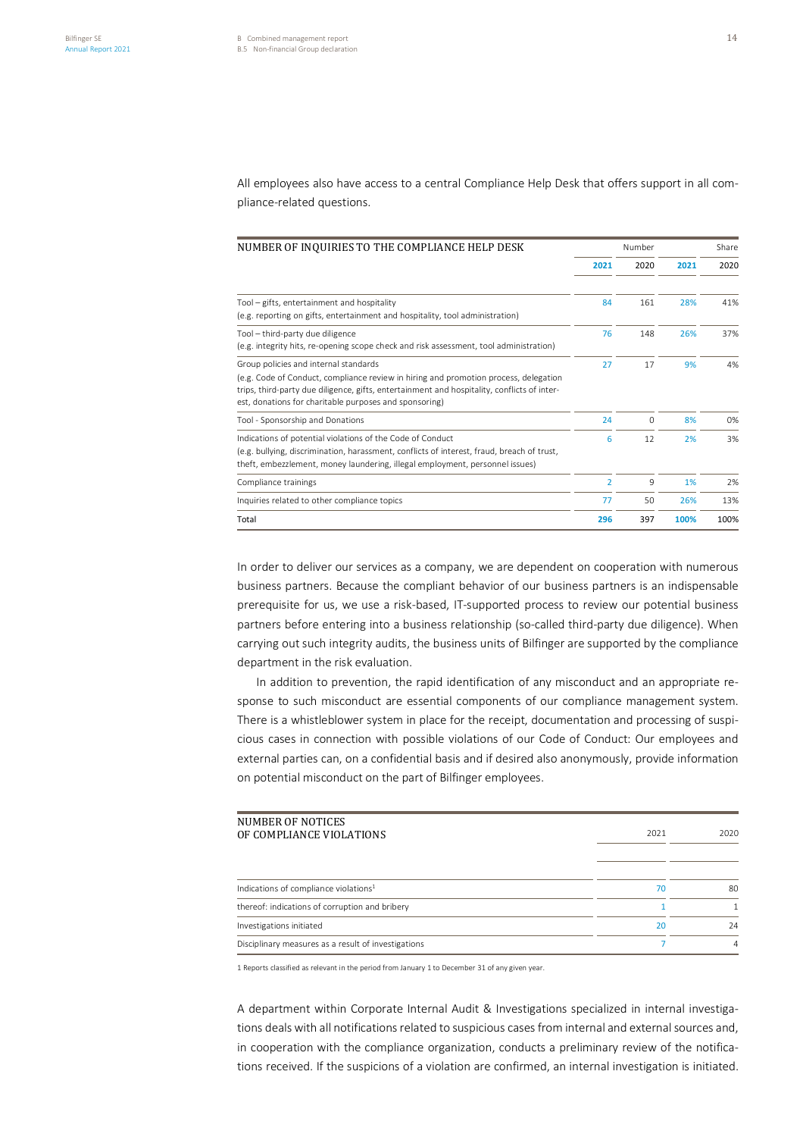All employees also have access to a central Compliance Help Desk that offers support in all compliance-related questions.

| NUMBER OF INQUIRIES TO THE COMPLIANCE HELP DESK                                                                                                                                                                                                                                        | Number         |              |      | Share |
|----------------------------------------------------------------------------------------------------------------------------------------------------------------------------------------------------------------------------------------------------------------------------------------|----------------|--------------|------|-------|
|                                                                                                                                                                                                                                                                                        | 2021           | 2020<br>2021 |      | 2020  |
| Tool - gifts, entertainment and hospitality<br>(e.g. reporting on gifts, entertainment and hospitality, tool administration)                                                                                                                                                           | 84             | 161          | 28%  | 41%   |
| Tool - third-party due diligence<br>(e.g. integrity hits, re-opening scope check and risk assessment, tool administration)                                                                                                                                                             | 76             | 148          | 26%  | 37%   |
| Group policies and internal standards<br>(e.g. Code of Conduct, compliance review in hiring and promotion process, delegation<br>trips, third-party due diligence, gifts, entertainment and hospitality, conflicts of inter-<br>est, donations for charitable purposes and sponsoring) | 27             | 17           | 9%   | 4%    |
| Tool - Sponsorship and Donations                                                                                                                                                                                                                                                       | 24             | $\Omega$     | 8%   | 0%    |
| Indications of potential violations of the Code of Conduct<br>(e.g. bullying, discrimination, harassment, conflicts of interest, fraud, breach of trust,<br>theft, embezzlement, money laundering, illegal employment, personnel issues)                                               | 6              | 12           | 2%   | 3%    |
| Compliance trainings                                                                                                                                                                                                                                                                   | $\overline{2}$ | 9            | 1%   | 2%    |
| Inquiries related to other compliance topics                                                                                                                                                                                                                                           | 77             | 50           | 26%  | 13%   |
| Total                                                                                                                                                                                                                                                                                  | 296            | 397          | 100% | 100%  |

In order to deliver our services as a company, we are dependent on cooperation with numerous business partners. Because the compliant behavior of our business partners is an indispensable prerequisite for us, we use a risk-based, IT-supported process to review our potential business partners before entering into a business relationship (so-called third-party due diligence). When carrying out such integrity audits, the business units of Bilfinger are supported by the compliance department in the risk evaluation.

In addition to prevention, the rapid identification of any misconduct and an appropriate response to such misconduct are essential components of our compliance management system. There is a whistleblower system in place for the receipt, documentation and processing of suspicious cases in connection with possible violations of our Code of Conduct: Our employees and external parties can, on a confidential basis and if desired also anonymously, provide information on potential misconduct on the part of Bilfinger employees.

| NUMBER OF NOTICES<br>OF COMPLIANCE VIOLATIONS       | 2021 | 2020 |
|-----------------------------------------------------|------|------|
|                                                     |      |      |
| Indications of compliance violations <sup>1</sup>   | 70   | 80   |
| thereof: indications of corruption and bribery      |      |      |
| Investigations initiated                            | 20   | 24   |
| Disciplinary measures as a result of investigations |      | 4    |

1 Reports classified as relevant in the period from January 1 to December 31 of any given year.

A department within Corporate Internal Audit & Investigations specialized in internal investigations deals with all notifications related to suspicious cases from internal and external sources and, in cooperation with the compliance organization, conducts a preliminary review of the notifications received. If the suspicions of a violation are confirmed, an internal investigation is initiated.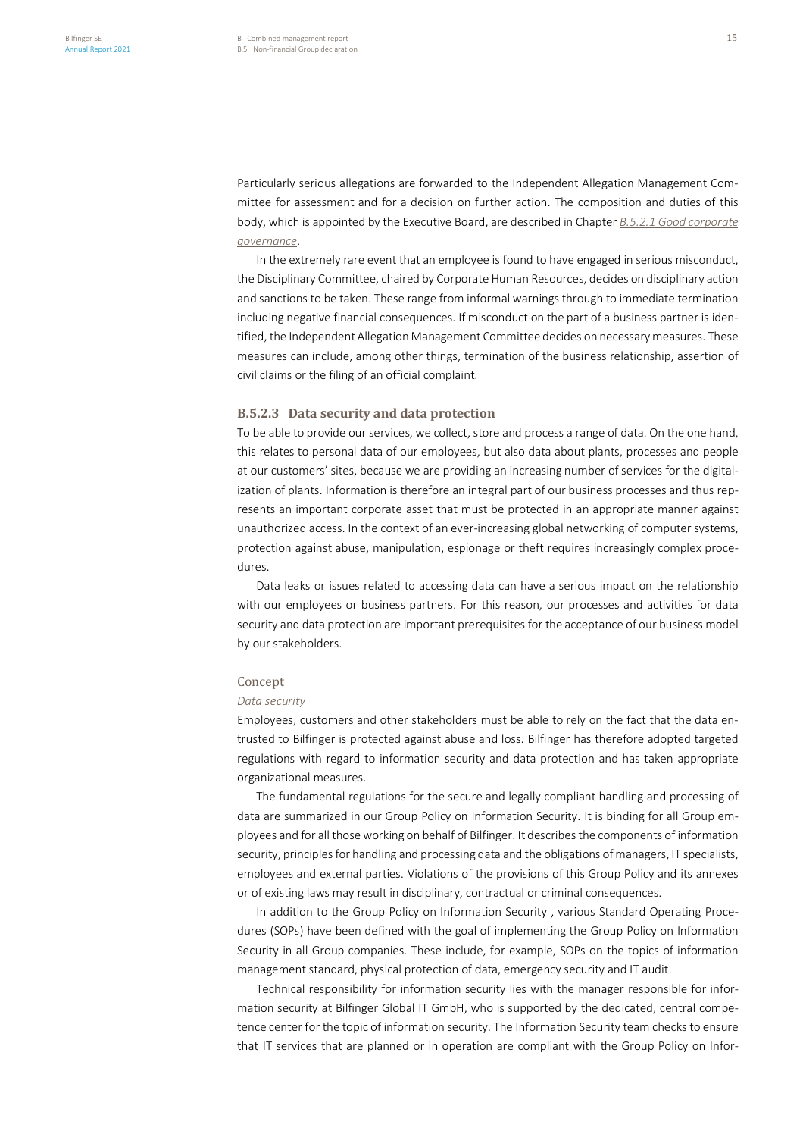Particularly serious allegations are forwarded to the Independent Allegation Management Committee for assessment and for a decision on further action. The composition and duties of this body, which is appointed by the Executive Board, are described in Chapter *B.5.2.1 Good corporate governance*.

In the extremely rare event that an employee is found to have engaged in serious misconduct, the Disciplinary Committee, chaired by Corporate Human Resources, decides on disciplinary action and sanctions to be taken. These range from informal warnings through to immediate termination including negative financial consequences. If misconduct on the part of a business partner is identified, the Independent Allegation Management Committee decides on necessary measures. These measures can include, among other things, termination of the business relationship, assertion of civil claims or the filing of an official complaint.

### **B.5.2.3** Data security and data protection

To be able to provide our services, we collect, store and process a range of data. On the one hand, this relates to personal data of our employees, but also data about plants, processes and people at our customers' sites, because we are providing an increasing number of services for the digitalization of plants. Information is therefore an integral part of our business processes and thus represents an important corporate asset that must be protected in an appropriate manner against unauthorized access. In the context of an ever-increasing global networking of computer systems, protection against abuse, manipulation, espionage or theft requires increasingly complex procedures.

Data leaks or issues related to accessing data can have a serious impact on the relationship with our employees or business partners. For this reason, our processes and activities for data security and data protection are important prerequisites for the acceptance of our business model by our stakeholders.

### Concept

### *Data security*

Employees, customers and other stakeholders must be able to rely on the fact that the data entrusted to Bilfinger is protected against abuse and loss. Bilfinger has therefore adopted targeted regulations with regard to information security and data protection and has taken appropriate organizational measures.

The fundamental regulations for the secure and legally compliant handling and processing of data are summarized in our Group Policy on Information Security. It is binding for all Group employees and for all those working on behalf of Bilfinger. It describes the components of information security, principles for handling and processing data and the obligations of managers, IT specialists, employees and external parties. Violations of the provisions of this Group Policy and its annexes or of existing laws may result in disciplinary, contractual or criminal consequences.

In addition to the Group Policy on Information Security , various Standard Operating Procedures (SOPs) have been defined with the goal of implementing the Group Policy on Information Security in all Group companies. These include, for example, SOPs on the topics of information management standard, physical protection of data, emergency security and IT audit.

Technical responsibility for information security lies with the manager responsible for information security at Bilfinger Global IT GmbH, who is supported by the dedicated, central competence center for the topic of information security. The Information Security team checks to ensure that IT services that are planned or in operation are compliant with the Group Policy on Infor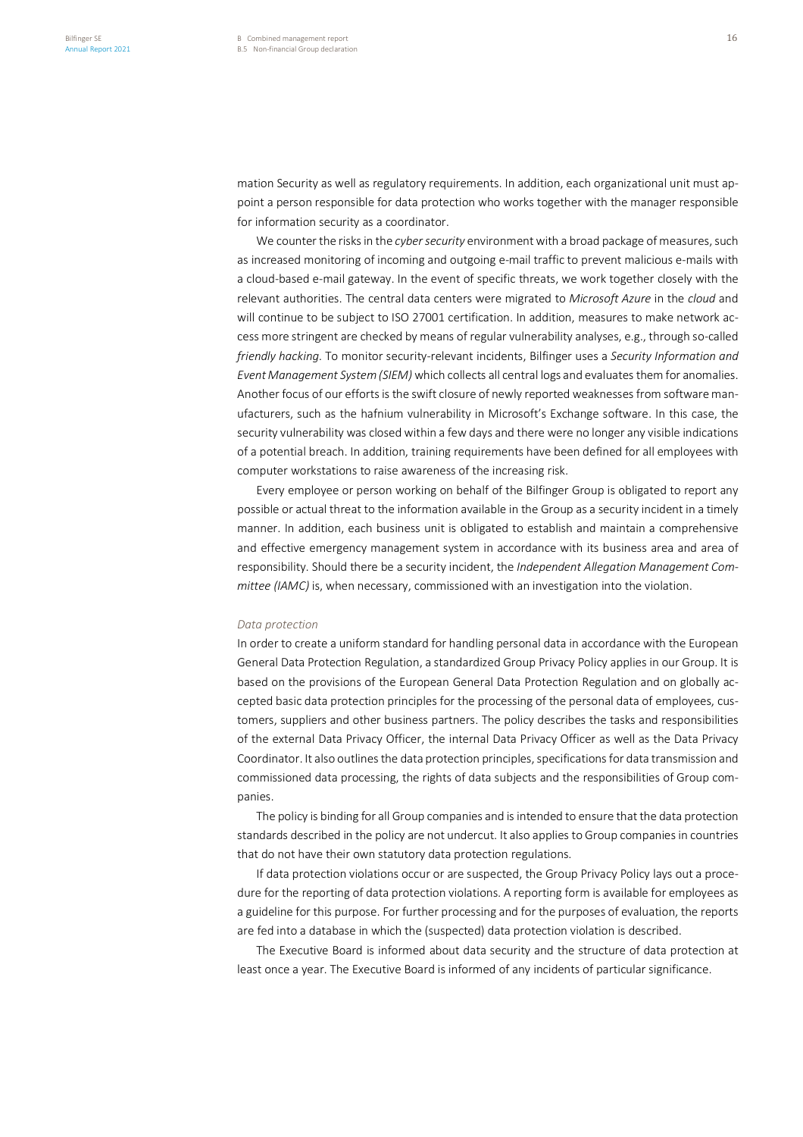mation Security as well as regulatory requirements. In addition, each organizational unit must appoint a person responsible for data protection who works together with the manager responsible for information security as a coordinator.

We counter the risks in the *cyber security* environment with a broad package of measures, such as increased monitoring of incoming and outgoing e-mail traffic to prevent malicious e-mails with a cloud-based e-mail gateway. In the event of specific threats, we work together closely with the relevant authorities. The central data centers were migrated to *Microsoft Azure* in the *cloud* and will continue to be subject to ISO 27001 certification. In addition, measures to make network access more stringent are checked by means of regular vulnerability analyses, e.g., through so-called *friendly hacking*. To monitor security-relevant incidents, Bilfinger uses a *Security Information and Event Management System (SIEM)* which collects all central logs and evaluates them for anomalies. Another focus of our efforts is the swift closure of newly reported weaknesses from software manufacturers, such as the hafnium vulnerability in Microsoft's Exchange software. In this case, the security vulnerability was closed within a few days and there were no longer any visible indications of a potential breach. In addition, training requirements have been defined for all employees with computer workstations to raise awareness of the increasing risk.

Every employee or person working on behalf of the Bilfinger Group is obligated to report any possible or actual threat to the information available in the Group as a security incident in a timely manner. In addition, each business unit is obligated to establish and maintain a comprehensive and effective emergency management system in accordance with its business area and area of responsibility. Should there be a security incident, the *Independent Allegation Management Committee (IAMC)* is, when necessary, commissioned with an investigation into the violation.

#### *Data protection*

In order to create a uniform standard for handling personal data in accordance with the European General Data Protection Regulation, a standardized Group Privacy Policy applies in our Group. It is based on the provisions of the European General Data Protection Regulation and on globally accepted basic data protection principles for the processing of the personal data of employees, customers, suppliers and other business partners. The policy describes the tasks and responsibilities of the external Data Privacy Officer, the internal Data Privacy Officer as well as the Data Privacy Coordinator. It also outlines the data protection principles, specifications for data transmission and commissioned data processing, the rights of data subjects and the responsibilities of Group companies.

The policy is binding for all Group companies and is intended to ensure that the data protection standards described in the policy are not undercut. It also applies to Group companies in countries that do not have their own statutory data protection regulations.

If data protection violations occur or are suspected, the Group Privacy Policy lays out a procedure for the reporting of data protection violations. A reporting form is available for employees as a guideline for this purpose. For further processing and for the purposes of evaluation, the reports are fed into a database in which the (suspected) data protection violation is described.

The Executive Board is informed about data security and the structure of data protection at least once a year. The Executive Board is informed of any incidents of particular significance.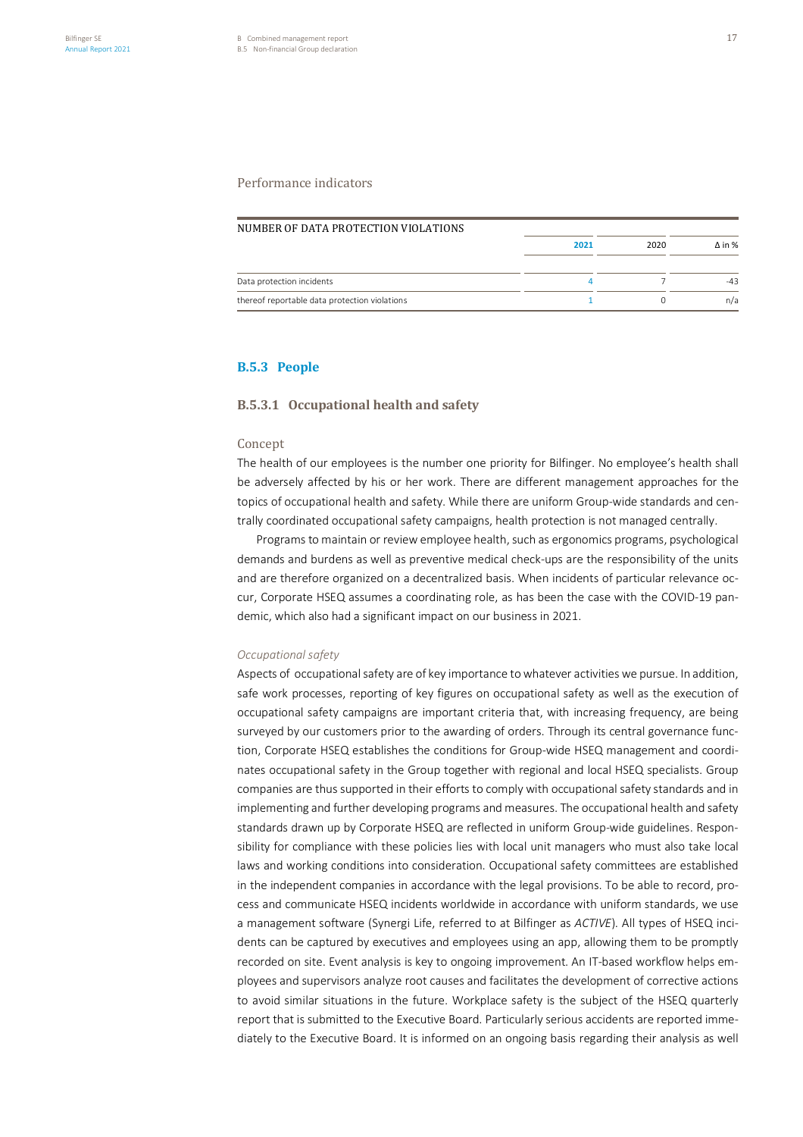### Performance indicators

| NUMBER OF DATA PROTECTION VIOLATIONS          |      |      |               |
|-----------------------------------------------|------|------|---------------|
|                                               | 2021 | 2020 | $\Delta$ in % |
| Data protection incidents                     |      |      | -43           |
| thereof reportable data protection violations |      |      | n/a           |

## **B.5.3 People**

## **B.5.3.1** Occupational health and safety

### Concept

The health of our employees is the number one priority for Bilfinger. No employee's health shall be adversely affected by his or her work. There are different management approaches for the topics of occupational health and safety. While there are uniform Group-wide standards and centrally coordinated occupational safety campaigns, health protection is not managed centrally.

Programs to maintain or review employee health, such as ergonomics programs, psychological demands and burdens as well as preventive medical check-ups are the responsibility of the units and are therefore organized on a decentralized basis. When incidents of particular relevance occur, Corporate HSEQ assumes a coordinating role, as has been the case with the COVID-19 pandemic, which also had a significant impact on our business in 2021.

### *Occupational safety*

Aspects of occupational safety are of key importance to whatever activities we pursue. In addition, safe work processes, reporting of key figures on occupational safety as well as the execution of occupational safety campaigns are important criteria that, with increasing frequency, are being surveyed by our customers prior to the awarding of orders. Through its central governance function, Corporate HSEQ establishes the conditions for Group-wide HSEQ management and coordinates occupational safety in the Group together with regional and local HSEQ specialists. Group companies are thus supported in their efforts to comply with occupational safety standards and in implementing and further developing programs and measures. The occupational health and safety standards drawn up by Corporate HSEQ are reflected in uniform Group-wide guidelines. Responsibility for compliance with these policies lies with local unit managers who must also take local laws and working conditions into consideration. Occupational safety committees are established in the independent companies in accordance with the legal provisions. To be able to record, process and communicate HSEQ incidents worldwide in accordance with uniform standards, we use a management software (Synergi Life, referred to at Bilfinger as *ACTIVE*). All types of HSEQ incidents can be captured by executives and employees using an app, allowing them to be promptly recorded on site. Event analysis is key to ongoing improvement. An IT-based workflow helps employees and supervisors analyze root causes and facilitates the development of corrective actions to avoid similar situations in the future. Workplace safety is the subject of the HSEQ quarterly report that is submitted to the Executive Board. Particularly serious accidents are reported immediately to the Executive Board. It is informed on an ongoing basis regarding their analysis as well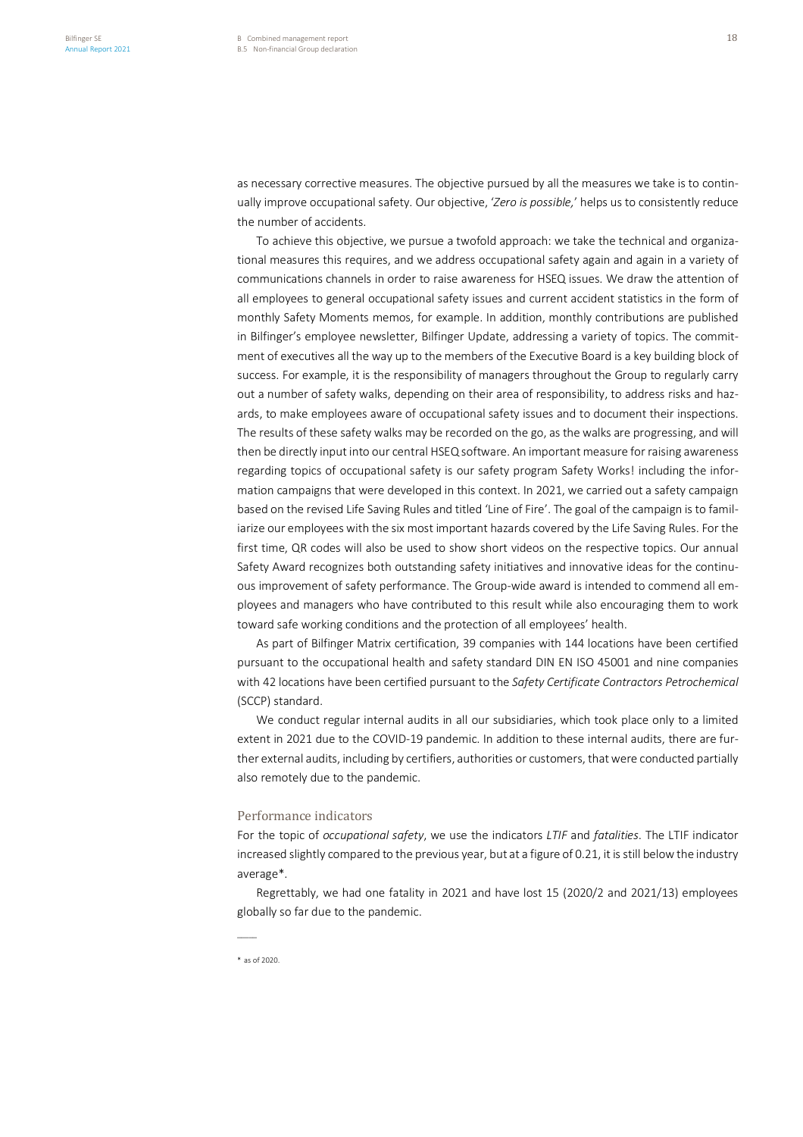as necessary corrective measures. The objective pursued by all the measures we take is to continually improve occupational safety. Our objective, '*Zero is possible,*' helps us to consistently reduce the number of accidents.

To achieve this objective, we pursue a twofold approach: we take the technical and organizational measures this requires, and we address occupational safety again and again in a variety of communications channels in order to raise awareness for HSEQ issues. We draw the attention of all employees to general occupational safety issues and current accident statistics in the form of monthly Safety Moments memos, for example. In addition, monthly contributions are published in Bilfinger's employee newsletter, Bilfinger Update, addressing a variety of topics. The commitment of executives all the way up to the members of the Executive Board is a key building block of success. For example, it is the responsibility of managers throughout the Group to regularly carry out a number of safety walks, depending on their area of responsibility, to address risks and hazards, to make employees aware of occupational safety issues and to document their inspections. The results of these safety walks may be recorded on the go, as the walks are progressing, and will then be directly input into our central HSEQ software. An important measure for raising awareness regarding topics of occupational safety is our safety program Safety Works! including the information campaigns that were developed in this context. In 2021, we carried out a safety campaign based on the revised Life Saving Rules and titled 'Line of Fire'. The goal of the campaign is to familiarize our employees with the six most important hazards covered by the Life Saving Rules. For the first time, QR codes will also be used to show short videos on the respective topics. Our annual Safety Award recognizes both outstanding safety initiatives and innovative ideas for the continuous improvement of safety performance. The Group-wide award is intended to commend all employees and managers who have contributed to this result while also encouraging them to work toward safe working conditions and the protection of all employees' health.

As part of Bilfinger Matrix certification, 39 companies with 144 locations have been certified pursuant to the occupational health and safety standard DIN EN ISO 45001 and nine companies with 42 locations have been certified pursuant to the *Safety Certificate Contractors Petrochemical* (SCCP) standard.

We conduct regular internal audits in all our subsidiaries, which took place only to a limited extent in 2021 due to the COVID-19 pandemic. In addition to these internal audits, there are further external audits, including by certifiers, authorities or customers, that were conducted partially also remotely due to the pandemic.

### Performance indicators

For the topic of *occupational safety*, we use the indicators *LTIF* and *fatalities*. The LTIF indicator increased slightly compared to the previous year, but at a figure of 0.21, it is still below the industry average\*.

Regrettably, we had one fatality in 2021 and have lost 15 (2020/2 and 2021/13) employees globally so far due to the pandemic.

–––––

<sup>\*</sup> as of 2020.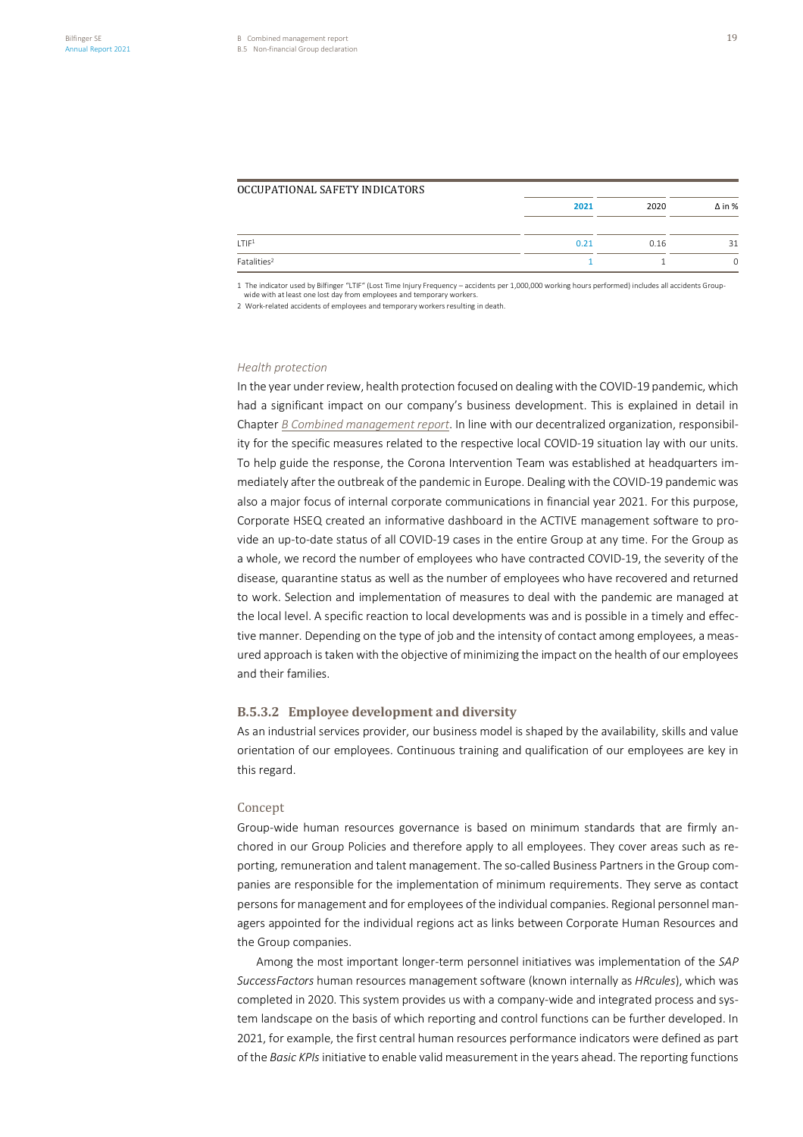## OCCUPATIONAL SAFETY INDICATORS

|                         | 2021 | 2020 | $\Delta$ in % |
|-------------------------|------|------|---------------|
| LTIF <sup>1</sup>       | 0.21 | 0.16 | 31            |
| Fatalities <sup>2</sup> |      |      | 0             |

1 The indicator used by Bilfinger "LTIF" (Lost Time Injury Frequency – accidents per 1,000,000 working hours performed) includes all accidents Groupwide with at least one lost day from employees and temporary workers.

2 Work-related accidents of employees and temporary workers resulting in death.

### *Health protection*

In the year under review, health protection focused on dealing with the COVID-19 pandemic, which had a significant impact on our company's business development. This is explained in detail in Chapter *B Combined management report*. In line with our decentralized organization, responsibility for the specific measures related to the respective local COVID-19 situation lay with our units. To help guide the response, the Corona Intervention Team was established at headquarters immediately after the outbreak of the pandemic in Europe. Dealing with the COVID-19 pandemic was also a major focus of internal corporate communications in financial year 2021. For this purpose, Corporate HSEQ created an informative dashboard in the ACTIVE management software to provide an up-to-date status of all COVID-19 cases in the entire Group at any time. For the Group as a whole, we record the number of employees who have contracted COVID-19, the severity of the disease, quarantine status as well as the number of employees who have recovered and returned to work. Selection and implementation of measures to deal with the pandemic are managed at the local level. A specific reaction to local developments was and is possible in a timely and effective manner. Depending on the type of job and the intensity of contact among employees, a measured approach is taken with the objective of minimizing the impact on the health of our employees and their families.

### **B.5.3.2** Employee development and diversity

As an industrial services provider, our business model is shaped by the availability, skills and value orientation of our employees. Continuous training and qualification of our employees are key in this regard.

### Concept

Group-wide human resources governance is based on minimum standards that are firmly anchored in our Group Policies and therefore apply to all employees. They cover areas such as reporting, remuneration and talent management. The so-called Business Partners in the Group companies are responsible for the implementation of minimum requirements. They serve as contact persons for management and for employees of the individual companies. Regional personnel managers appointed for the individual regions act as links between Corporate Human Resources and the Group companies.

Among the most important longer-term personnel initiatives was implementation of the *SAP SuccessFactors* human resources management software (known internally as *HRcules*), which was completed in 2020. This system provides us with a company-wide and integrated process and system landscape on the basis of which reporting and control functions can be further developed. In 2021, for example, the first central human resources performance indicators were defined as part of the *Basic KPIs*initiative to enable valid measurement in the years ahead. The reporting functions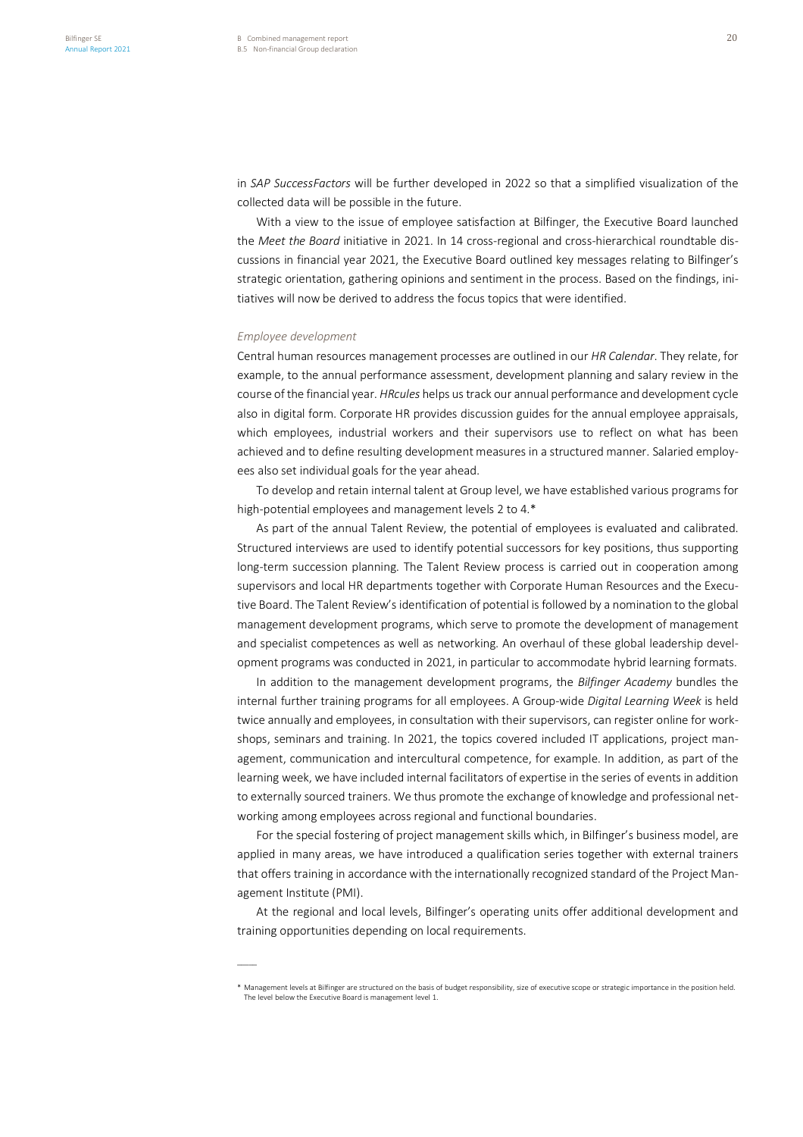in *SAP SuccessFactors* will be further developed in 2022 so that a simplified visualization of the collected data will be possible in the future.

With a view to the issue of employee satisfaction at Bilfinger, the Executive Board launched the *Meet the Board* initiative in 2021. In 14 cross-regional and cross-hierarchical roundtable discussions in financial year 2021, the Executive Board outlined key messages relating to Bilfinger's strategic orientation, gathering opinions and sentiment in the process. Based on the findings, initiatives will now be derived to address the focus topics that were identified.

### *Employee development*

–––––

Central human resources management processes are outlined in our *HR Calendar*. They relate, for example, to the annual performance assessment, development planning and salary review in the course of the financial year. *HRcules* helps us track our annual performance and development cycle also in digital form. Corporate HR provides discussion guides for the annual employee appraisals, which employees, industrial workers and their supervisors use to reflect on what has been achieved and to define resulting development measures in a structured manner. Salaried employees also set individual goals for the year ahead.

To develop and retain internal talent at Group level, we have established various programs for high-potential employees and management levels 2 to 4.\*

As part of the annual Talent Review, the potential of employees is evaluated and calibrated. Structured interviews are used to identify potential successors for key positions, thus supporting long-term succession planning. The Talent Review process is carried out in cooperation among supervisors and local HR departments together with Corporate Human Resources and the Executive Board. The Talent Review's identification of potential is followed by a nomination to the global management development programs, which serve to promote the development of management and specialist competences as well as networking. An overhaul of these global leadership development programs was conducted in 2021, in particular to accommodate hybrid learning formats.

In addition to the management development programs, the *Bilfinger Academy* bundles the internal further training programs for all employees. A Group-wide *Digital Learning Week* is held twice annually and employees, in consultation with their supervisors, can register online for workshops, seminars and training. In 2021, the topics covered included IT applications, project management, communication and intercultural competence, for example. In addition, as part of the learning week, we have included internal facilitators of expertise in the series of events in addition to externally sourced trainers. We thus promote the exchange of knowledge and professional networking among employees across regional and functional boundaries.

For the special fostering of project management skills which, in Bilfinger's business model, are applied in many areas, we have introduced a qualification series together with external trainers that offers training in accordance with the internationally recognized standard of the Project Management Institute (PMI).

At the regional and local levels, Bilfinger's operating units offer additional development and training opportunities depending on local requirements.

<sup>\*</sup> Management levels at Bilfinger are structured on the basis of budget responsibility, size of executive scope or strategic importance in the position held. The level below the Executive Board is management level 1.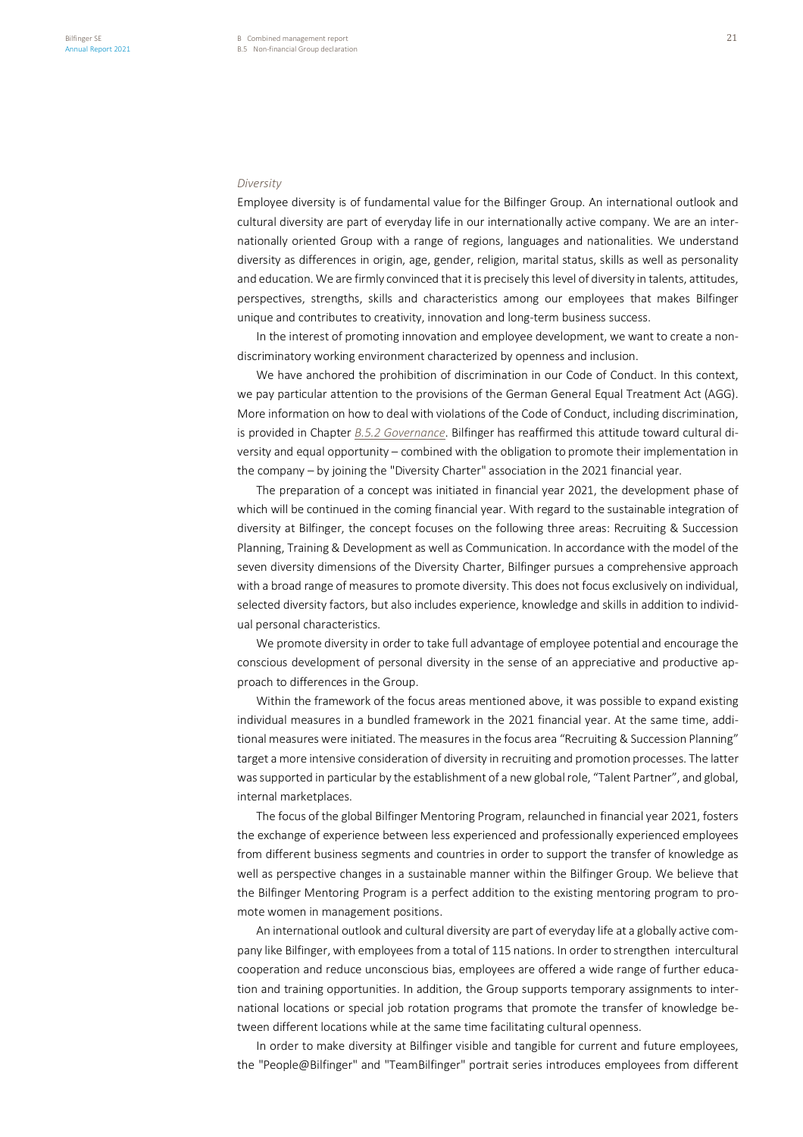## *Diversity*

Employee diversity is of fundamental value for the Bilfinger Group. An international outlook and cultural diversity are part of everyday life in our internationally active company. We are an internationally oriented Group with a range of regions, languages and nationalities. We understand diversity as differences in origin, age, gender, religion, marital status, skills as well as personality and education. We are firmly convinced that it is precisely this level of diversity in talents, attitudes, perspectives, strengths, skills and characteristics among our employees that makes Bilfinger unique and contributes to creativity, innovation and long-term business success.

In the interest of promoting innovation and employee development, we want to create a nondiscriminatory working environment characterized by openness and inclusion.

We have anchored the prohibition of discrimination in our Code of Conduct. In this context, we pay particular attention to the provisions of the German General Equal Treatment Act (AGG). More information on how to deal with violations of the Code of Conduct, including discrimination, is provided in Chapter *B.5.2 Governance*. Bilfinger has reaffirmed this attitude toward cultural diversity and equal opportunity – combined with the obligation to promote their implementation in the company – by joining the "Diversity Charter" association in the 2021 financial year.

The preparation of a concept was initiated in financial year 2021, the development phase of which will be continued in the coming financial year. With regard to the sustainable integration of diversity at Bilfinger, the concept focuses on the following three areas: Recruiting & Succession Planning, Training & Development as well as Communication. In accordance with the model of the seven diversity dimensions of the Diversity Charter, Bilfinger pursues a comprehensive approach with a broad range of measures to promote diversity. This does not focus exclusively on individual, selected diversity factors, but also includes experience, knowledge and skills in addition to individual personal characteristics.

We promote diversity in order to take full advantage of employee potential and encourage the conscious development of personal diversity in the sense of an appreciative and productive approach to differences in the Group.

Within the framework of the focus areas mentioned above, it was possible to expand existing individual measures in a bundled framework in the 2021 financial year. At the same time, additional measures were initiated. The measures in the focus area "Recruiting & Succession Planning" target a more intensive consideration of diversity in recruiting and promotion processes. The latter was supported in particular by the establishment of a new global role, "Talent Partner", and global, internal marketplaces.

The focus of the global Bilfinger Mentoring Program, relaunched in financial year 2021, fosters the exchange of experience between less experienced and professionally experienced employees from different business segments and countries in order to support the transfer of knowledge as well as perspective changes in a sustainable manner within the Bilfinger Group. We believe that the Bilfinger Mentoring Program is a perfect addition to the existing mentoring program to promote women in management positions.

An international outlook and cultural diversity are part of everyday life at a globally active company like Bilfinger, with employees from a total of 115 nations. In order to strengthen intercultural cooperation and reduce unconscious bias, employees are offered a wide range of further education and training opportunities. In addition, the Group supports temporary assignments to international locations or special job rotation programs that promote the transfer of knowledge between different locations while at the same time facilitating cultural openness.

In order to make diversity at Bilfinger visible and tangible for current and future employees, the "People@Bilfinger" and "TeamBilfinger" portrait series introduces employees from different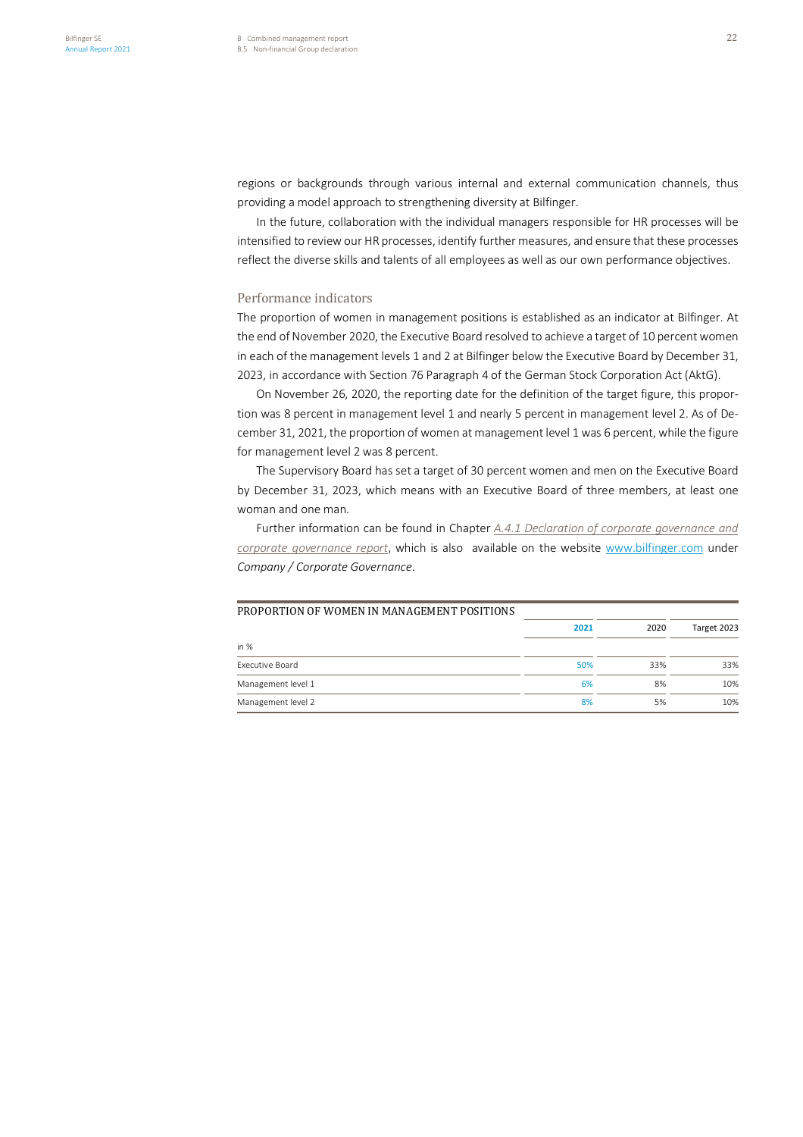regions or backgrounds through various internal and external communication channels, thus providing a model approach to strengthening diversity at Bilfinger.

In the future, collaboration with the individual managers responsible for HR processes will be intensified to review our HR processes, identify further measures, and ensure that these processes reflect the diverse skills and talents of all employees as well as our own performance objectives.

## Performance indicators

The proportion of women in management positions is established as an indicator at Bilfinger. At the end of November 2020, the Executive Board resolved to achieve a target of 10 percent women in each of the management levels 1 and 2 at Bilfinger below the Executive Board by December 31, 2023, in accordance with Section 76 Paragraph 4 of the German Stock Corporation Act (AktG).

On November 26, 2020, the reporting date for the definition of the target figure, this proportion was 8 percent in management level 1 and nearly 5 percent in management level 2. As of December 31, 2021, the proportion of women at management level 1 was 6 percent, while the figure for management level 2 was 8 percent.

The Supervisory Board has set a target of 30 percent women and men on the Executive Board by December 31, 2023, which means with an Executive Board of three members, at least one woman and one man.

Further information can be found in Chapter *A.4.1 Declaration of corporate governance and corporate governance report*, which is also available on the website www.bilfinger.com under *Company / Corporate Governance*.

| PROPORTION OF WOMEN IN MANAGEMENT POSITIONS |      |      |             |
|---------------------------------------------|------|------|-------------|
|                                             | 2021 | 2020 | Target 2023 |
| in $%$                                      |      |      |             |
| <b>Executive Board</b>                      | 50%  | 33%  | 33%         |
| Management level 1                          | 6%   | 8%   | 10%         |
| Management level 2                          | 8%   | 5%   | 10%         |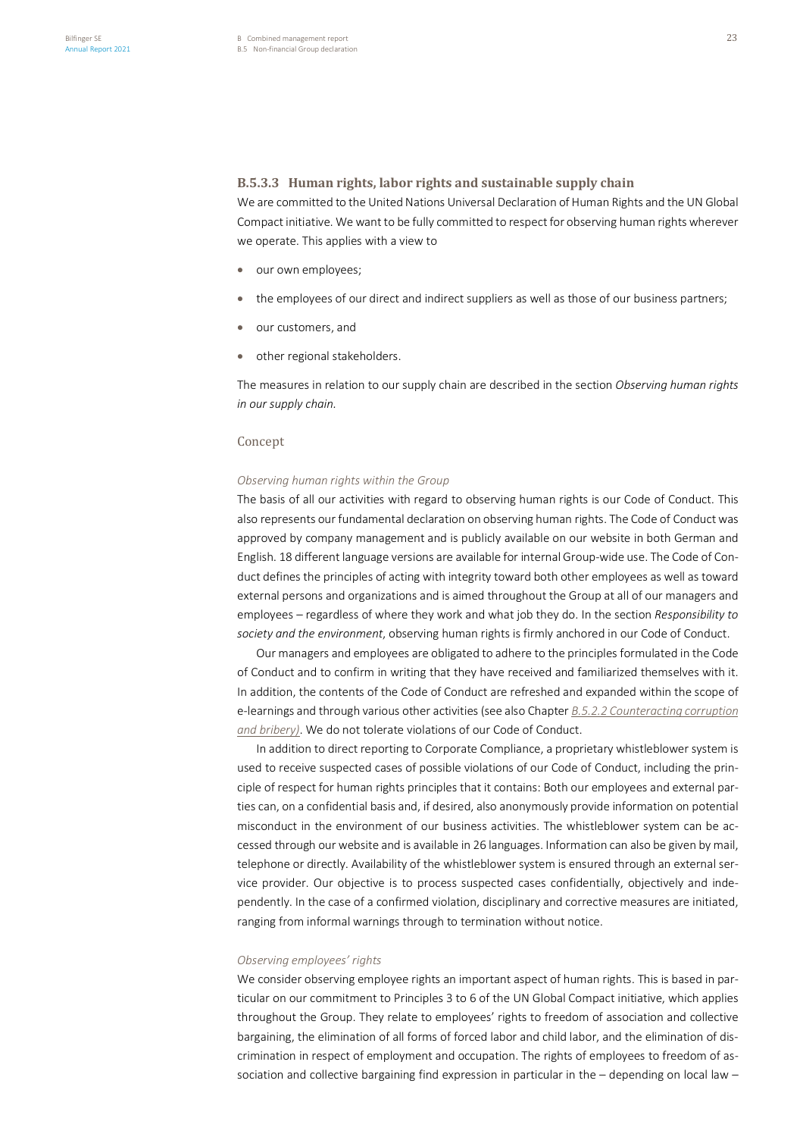## **B.5.3.3** Human rights, labor rights and sustainable supply chain

We are committed to the United Nations Universal Declaration of Human Rights and the UN Global Compact initiative. We want to be fully committed to respect for observing human rights wherever we operate. This applies with a view to

- our own employees;
- the employees of our direct and indirect suppliers as well as those of our business partners;
- our customers, and
- other regional stakeholders.

The measures in relation to our supply chain are described in the section *Observing human rights in our supply chain.*

## Concept

## *Observing human rights within the Group*

The basis of all our activities with regard to observing human rights is our Code of Conduct. This also represents our fundamental declaration on observing human rights. The Code of Conduct was approved by company management and is publicly available on our website in both German and English. 18 different language versions are available for internal Group-wide use. The Code of Conduct defines the principles of acting with integrity toward both other employees as well as toward external persons and organizations and is aimed throughout the Group at all of our managers and employees – regardless of where they work and what job they do. In the section *Responsibility to society and the environment*, observing human rights is firmly anchored in our Code of Conduct.

Our managers and employees are obligated to adhere to the principles formulated in the Code of Conduct and to confirm in writing that they have received and familiarized themselves with it. In addition, the contents of the Code of Conduct are refreshed and expanded within the scope of e-learnings and through various other activities (see also Chapter *B.5.2.2 Counteracting corruption and bribery)*. We do not tolerate violations of our Code of Conduct.

In addition to direct reporting to Corporate Compliance, a proprietary whistleblower system is used to receive suspected cases of possible violations of our Code of Conduct, including the principle of respect for human rights principles that it contains: Both our employees and external parties can, on a confidential basis and, if desired, also anonymously provide information on potential misconduct in the environment of our business activities. The whistleblower system can be accessed through our website and is available in 26 languages. Information can also be given by mail, telephone or directly. Availability of the whistleblower system is ensured through an external service provider. Our objective is to process suspected cases confidentially, objectively and independently. In the case of a confirmed violation, disciplinary and corrective measures are initiated, ranging from informal warnings through to termination without notice.

## *Observing employees' rights*

We consider observing employee rights an important aspect of human rights. This is based in particular on our commitment to Principles 3 to 6 of the UN Global Compact initiative, which applies throughout the Group. They relate to employees' rights to freedom of association and collective bargaining, the elimination of all forms of forced labor and child labor, and the elimination of discrimination in respect of employment and occupation. The rights of employees to freedom of association and collective bargaining find expression in particular in the – depending on local law –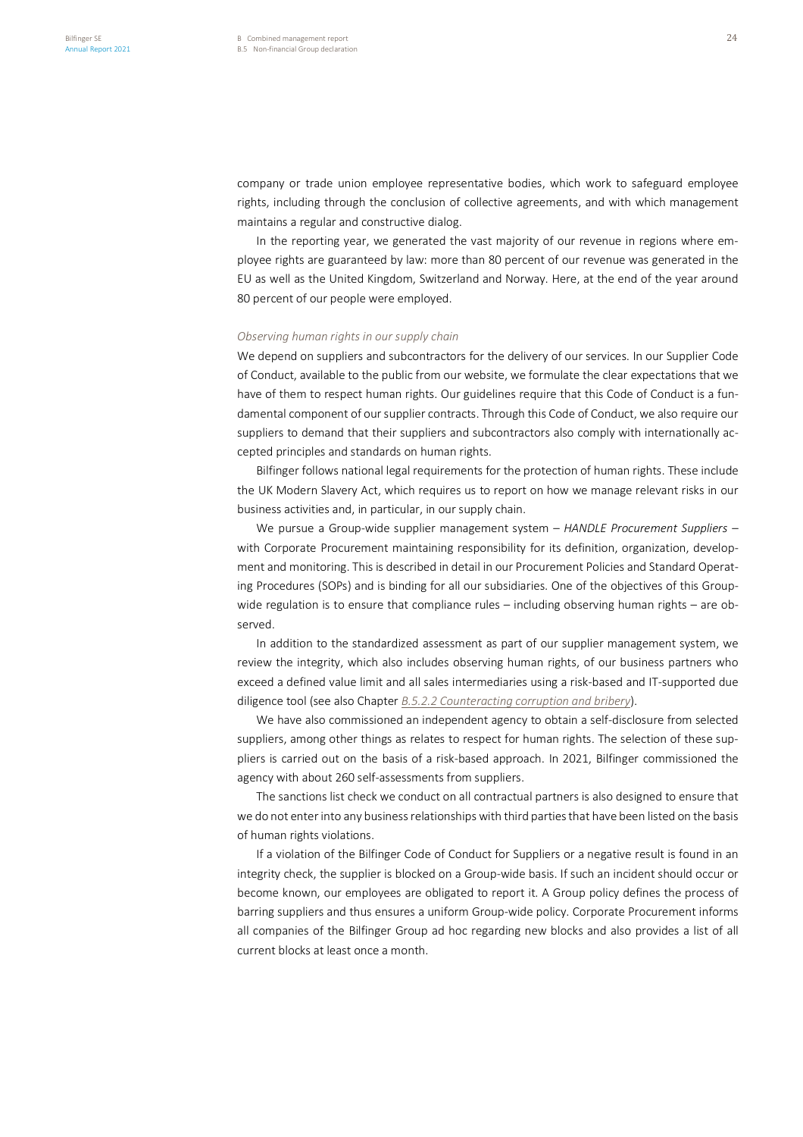company or trade union employee representative bodies, which work to safeguard employee rights, including through the conclusion of collective agreements, and with which management maintains a regular and constructive dialog.

In the reporting year, we generated the vast majority of our revenue in regions where employee rights are guaranteed by law: more than 80 percent of our revenue was generated in the EU as well as the United Kingdom, Switzerland and Norway. Here, at the end of the year around 80 percent of our people were employed.

### *Observing human rights in our supply chain*

We depend on suppliers and subcontractors for the delivery of our services. In our Supplier Code of Conduct, available to the public from our website, we formulate the clear expectations that we have of them to respect human rights. Our guidelines require that this Code of Conduct is a fundamental component of our supplier contracts. Through this Code of Conduct, we also require our suppliers to demand that their suppliers and subcontractors also comply with internationally accepted principles and standards on human rights.

Bilfinger follows national legal requirements for the protection of human rights. These include the UK Modern Slavery Act, which requires us to report on how we manage relevant risks in our business activities and, in particular, in our supply chain.

We pursue a Group-wide supplier management system – *HANDLE Procurement Suppliers* – with Corporate Procurement maintaining responsibility for its definition, organization, development and monitoring. This is described in detail in our Procurement Policies and Standard Operating Procedures (SOPs) and is binding for all our subsidiaries. One of the objectives of this Groupwide regulation is to ensure that compliance rules – including observing human rights – are observed.

In addition to the standardized assessment as part of our supplier management system, we review the integrity, which also includes observing human rights, of our business partners who exceed a defined value limit and all sales intermediaries using a risk-based and IT-supported due diligence tool (see also Chapter *B.5.2.2 Counteracting corruption and bribery*).

We have also commissioned an independent agency to obtain a self-disclosure from selected suppliers, among other things as relates to respect for human rights. The selection of these suppliers is carried out on the basis of a risk-based approach. In 2021, Bilfinger commissioned the agency with about 260 self-assessments from suppliers.

The sanctions list check we conduct on all contractual partners is also designed to ensure that we do not enter into any business relationships with third parties that have been listed on the basis of human rights violations.

If a violation of the Bilfinger Code of Conduct for Suppliers or a negative result is found in an integrity check, the supplier is blocked on a Group-wide basis. If such an incident should occur or become known, our employees are obligated to report it. A Group policy defines the process of barring suppliers and thus ensures a uniform Group-wide policy. Corporate Procurement informs all companies of the Bilfinger Group ad hoc regarding new blocks and also provides a list of all current blocks at least once a month.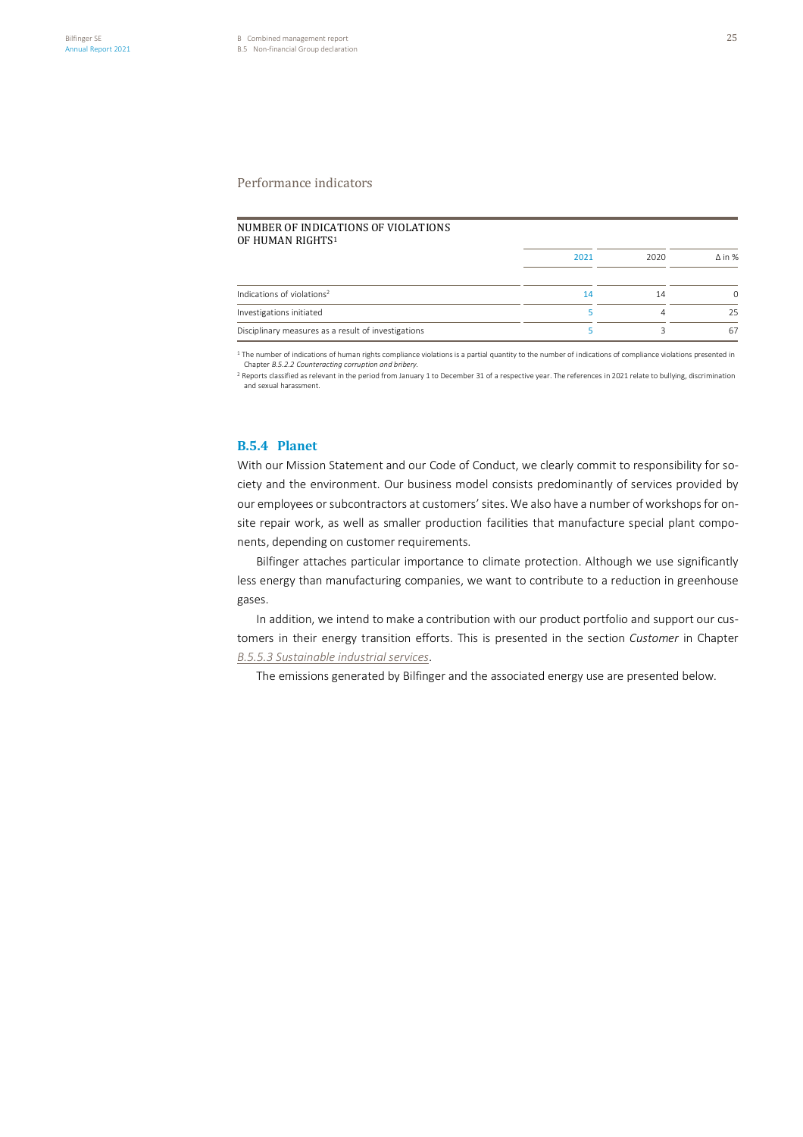## Performance indicators

#### NUMBER OF INDICATIONS OF VIOLATIONS OF HUMAN RIGHTS<sup>1</sup>

|                                                     | 2021 | 2020 | $\Delta$ in % |
|-----------------------------------------------------|------|------|---------------|
|                                                     |      |      |               |
| Indications of violations <sup>2</sup>              | 14   | 14   |               |
| Investigations initiated                            |      |      | 25            |
| Disciplinary measures as a result of investigations |      |      | 67            |

 $1$  The number of indications of human rights compliance violations is a partial quantity to the number of indications of compliance violations presented in Chapter *B.5.2.2 Counteracting corruption and bribery.*

<sup>2</sup> Reports classified as relevant in the period from January 1 to December 31 of a respective year. The references in 2021 relate to bullying, discrimination and sexual harassment.

## **B.5.4 Planet**

With our Mission Statement and our Code of Conduct, we clearly commit to responsibility for society and the environment. Our business model consists predominantly of services provided by our employees or subcontractors at customers'sites. We also have a number of workshops for onsite repair work, as well as smaller production facilities that manufacture special plant components, depending on customer requirements.

Bilfinger attaches particular importance to climate protection. Although we use significantly less energy than manufacturing companies, we want to contribute to a reduction in greenhouse gases.

In addition, we intend to make a contribution with our product portfolio and support our customers in their energy transition efforts. This is presented in the section *Customer* in Chapter *B.5.5.3 Sustainable industrial services*.

The emissions generated by Bilfinger and the associated energy use are presented below.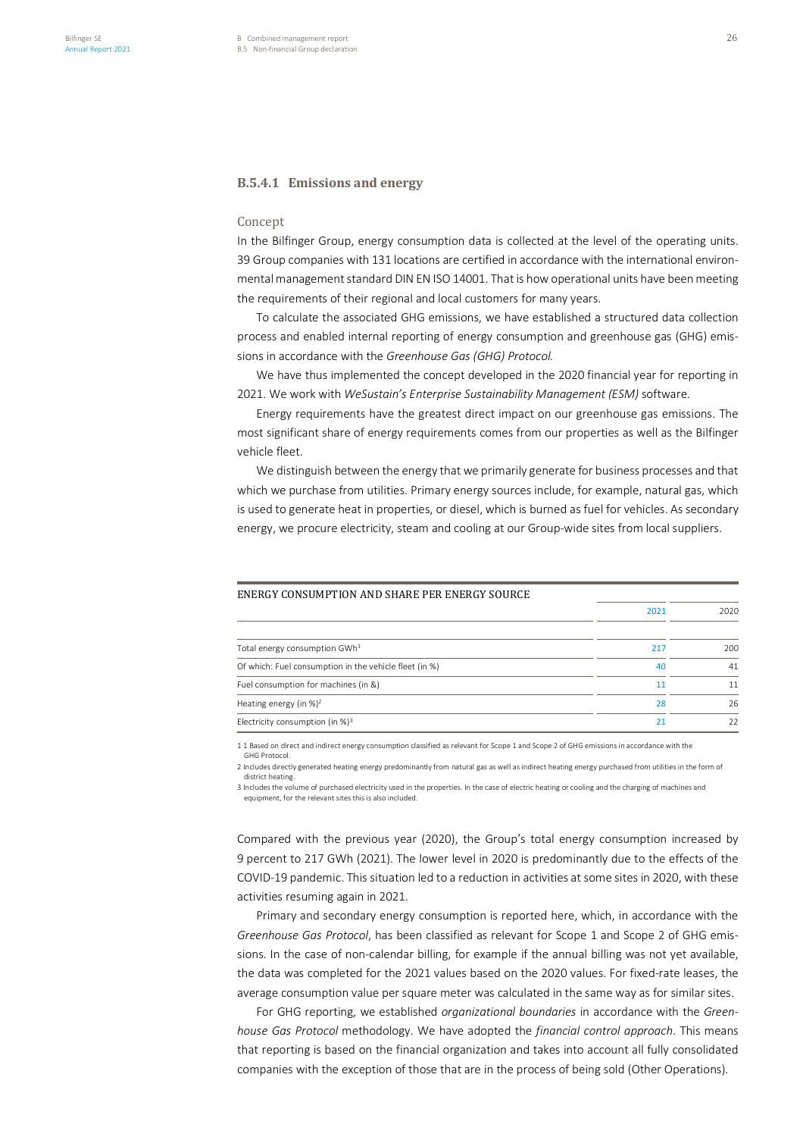## **B.5.4.1** Emissions and energy

### Concept

GHG Protocol.

In the Bilfinger Group, energy consumption data is collected at the level of the operating units. 39 Group companies with 131 locations are certified in accordance with the international environmental management standard DIN EN ISO 14001. That is how operational units have been meeting the requirements of their regional and local customers for many years.

To calculate the associated GHG emissions, we have established a structured data collection process and enabled internal reporting of energy consumption and greenhouse gas (GHG) emissions in accordance with the *Greenhouse Gas (GHG) Protocol.*

We have thus implemented the concept developed in the 2020 financial year for reporting in 2021. We work with *WeSustain's Enterprise Sustainability Management (ESM)* software.

Energy requirements have the greatest direct impact on our greenhouse gas emissions. The most significant share of energy requirements comes from our properties as well as the Bilfinger vehicle fleet.

We distinguish between the energy that we primarily generate for business processes and that which we purchase from utilities. Primary energy sources include, for example, natural gas, which is used to generate heat in properties, or diesel, which is burned as fuel for vehicles. As secondary energy, we procure electricity, steam and cooling at our Group-wide sites from local suppliers.

|                                                        | 2021 | 2020 |
|--------------------------------------------------------|------|------|
| Total energy consumption GWh <sup>1</sup>              | 217  | 200  |
| Of which: Fuel consumption in the vehicle fleet (in %) | 40   | 41   |
| Fuel consumption for machines (in &)                   | 11   | 11   |
| Heating energy (in %) <sup>2</sup>                     | 28   | 26   |
| Electricity consumption (in $%$ ) <sup>3</sup>         | 21   | フフ   |

1 1 Based on direct and indirect energy consumption classified as relevant for Scope 1 and Scope 2 of GHG emissions in accordance with the

ENERGY CONSUMPTION AND SHARE PER ENERGY SOURCE

2 Includes directly generated heating energy predominantly from natural gas as well as indirect heating energy purchased from utilities in the form of district heating.

3 Includes the volume of purchased electricity used in the properties. In the case of electric heating or cooling and the charging of machines and equipment, for the relevant sites this is also included.

Compared with the previous year (2020), the Group's total energy consumption increased by 9 percent to 217 GWh (2021). The lower level in 2020 is predominantly due to the effects of the COVID-19 pandemic. This situation led to a reduction in activities at some sites in 2020, with these activities resuming again in 2021.

Primary and secondary energy consumption is reported here, which, in accordance with the *Greenhouse Gas Protocol*, has been classified as relevant for Scope 1 and Scope 2 of GHG emissions. In the case of non-calendar billing, for example if the annual billing was not yet available, the data was completed for the 2021 values based on the 2020 values. For fixed-rate leases, the average consumption value per square meter was calculated in the same way as for similar sites.

For GHG reporting, we established *organizational boundaries* in accordance with the *Greenhouse Gas Protocol* methodology. We have adopted the *financial control approach*. This means that reporting is based on the financial organization and takes into account all fully consolidated companies with the exception of those that are in the process of being sold (Other Operations).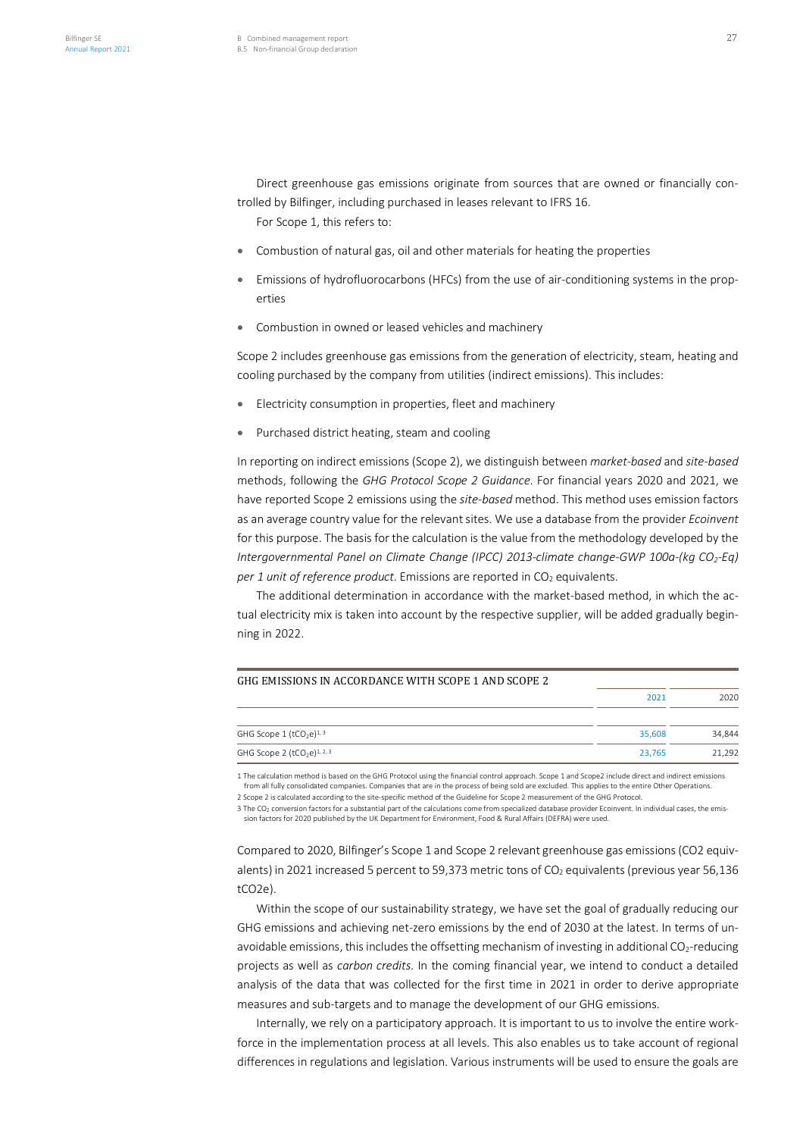Direct greenhouse gas emissions originate from sources that are owned or financially controlled by Bilfinger, including purchased in leases relevant to IFRS 16.

For Scope 1, this refers to:

- Combustion of natural gas, oil and other materials for heating the properties
- Emissions of hydrofluorocarbons (HFCs) from the use of air-conditioning systems in the properties
- Combustion in owned or leased vehicles and machinery

Scope 2 includes greenhouse gas emissions from the generation of electricity, steam, heating and cooling purchased by the company from utilities (indirect emissions). This includes:

- Electricity consumption in properties, fleet and machinery
- Purchased district heating, steam and cooling

In reporting on indirect emissions (Scope 2), we distinguish between *market-based* and *site-based* methods, following the *GHG Protocol Scope 2 Guidance*. For financial years 2020 and 2021, we have reported Scope 2 emissions using the *site-based* method. This method uses emission factors as an average country value for the relevant sites. We use a database from the provider *Ecoinvent* for this purpose. The basis for the calculation is the value from the methodology developed by the *Intergovernmental Panel on Climate Change (IPCC) 2013-climate change-GWP 100a-(kg CO2-Eq) per 1 unit of reference product*. Emissions are reported in CO<sub>2</sub> equivalents.

The additional determination in accordance with the market-based method, in which the actual electricity mix is taken into account by the respective supplier, will be added gradually beginning in 2022.

#### GHG EMISSIONS IN ACCORDANCE WITH SCOPE 1 AND SCOPE 2 2021 2020

|                                                     | <b>LULI</b> | ZUZU   |
|-----------------------------------------------------|-------------|--------|
|                                                     |             |        |
| GHG Scope $1$ (tCO <sub>2</sub> e) <sup>1, 3</sup>  | 35.608      | 34,844 |
| GHG Scope 2 (tCO <sub>2</sub> e) <sup>1, 2, 3</sup> | 23.765      | 21,292 |

1 The calculation method is based on the GHG Protocol using the financial control approach. Scope 1 and Scope2 include direct and indirect emissions from all fully consolidated companies. Companies that are in the process of being sold are excluded. This applies to the entire Other Operations. 2 Scope 2 is calculated according to the site-specific method of the Guideline for Scope 2 measurement of the GHG Protocol.

3 The CO<sub>2</sub> conversion factors for a substantial part of the calculations come from specialized database provider Ecoinvent. In individual cases, the emis-

sion factors for 2020 published by the UK Department for Environment, Food & Rural Affairs (DEFRA) were used.

Compared to 2020, Bilfinger's Scope 1 and Scope 2 relevant greenhouse gas emissions (CO2 equivalents) in 2021 increased 5 percent to 59,373 metric tons of  $CO<sub>2</sub>$  equivalents (previous year 56,136 tCO2e).

Within the scope of our sustainability strategy, we have set the goal of gradually reducing our GHG emissions and achieving net-zero emissions by the end of 2030 at the latest. In terms of unavoidable emissions, this includes the offsetting mechanism of investing in additional CO<sub>2</sub>-reducing projects as well as *carbon credits*. In the coming financial year, we intend to conduct a detailed analysis of the data that was collected for the first time in 2021 in order to derive appropriate measures and sub-targets and to manage the development of our GHG emissions.

Internally, we rely on a participatory approach. It is important to us to involve the entire workforce in the implementation process at all levels. This also enables us to take account of regional differences in regulations and legislation. Various instruments will be used to ensure the goals are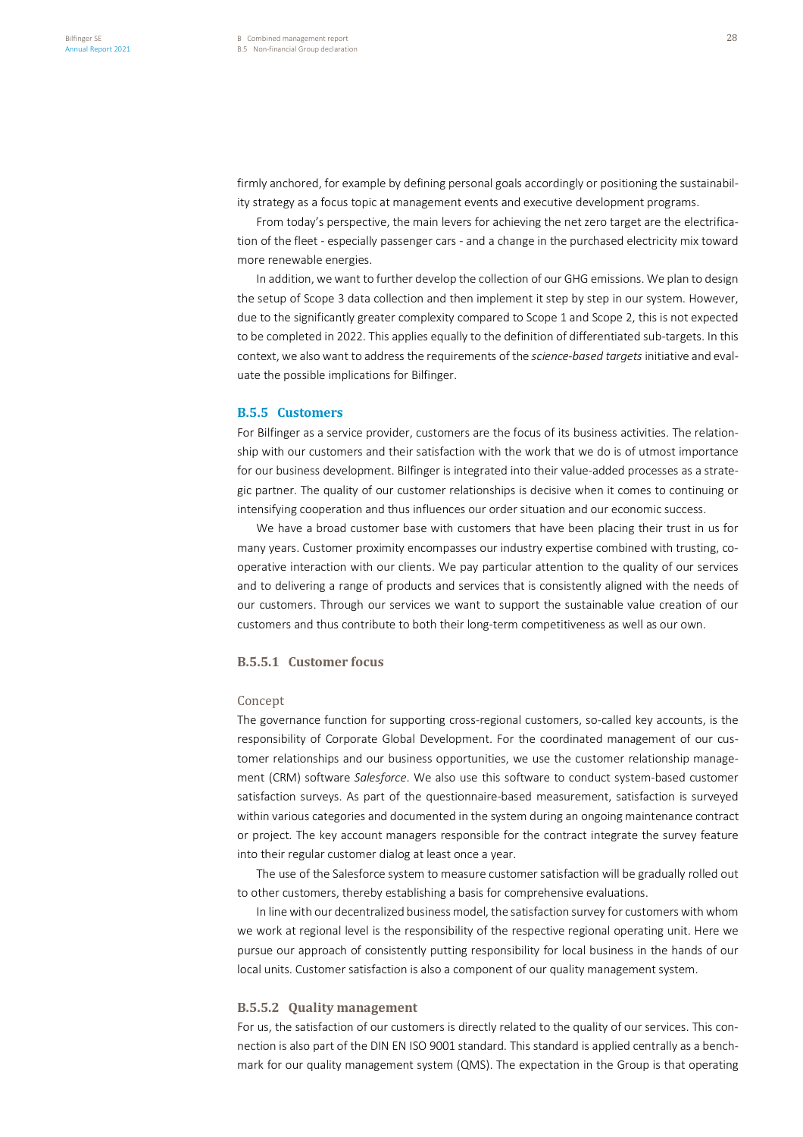firmly anchored, for example by defining personal goals accordingly or positioning the sustainability strategy as a focus topic at management events and executive development programs.

From today's perspective, the main levers for achieving the net zero target are the electrification of the fleet - especially passenger cars - and a change in the purchased electricity mix toward more renewable energies.

In addition, we want to further develop the collection of our GHG emissions. We plan to design the setup of Scope 3 data collection and then implement it step by step in our system. However, due to the significantly greater complexity compared to Scope 1 and Scope 2, this is not expected to be completed in 2022. This applies equally to the definition of differentiated sub-targets. In this context, we also want to address the requirements of the *science-based targets* initiative and evaluate the possible implications for Bilfinger.

### **B.5.5** Customers

For Bilfinger as a service provider, customers are the focus of its business activities. The relationship with our customers and their satisfaction with the work that we do is of utmost importance for our business development. Bilfinger is integrated into their value-added processes as a strategic partner. The quality of our customer relationships is decisive when it comes to continuing or intensifying cooperation and thus influences our order situation and our economic success.

We have a broad customer base with customers that have been placing their trust in us for many years. Customer proximity encompasses our industry expertise combined with trusting, cooperative interaction with our clients. We pay particular attention to the quality of our services and to delivering a range of products and services that is consistently aligned with the needs of our customers. Through our services we want to support the sustainable value creation of our customers and thus contribute to both their long-term competitiveness as well as our own.

## **B.5.5.1** Customer focus

## Concept

The governance function for supporting cross-regional customers, so-called key accounts, is the responsibility of Corporate Global Development. For the coordinated management of our customer relationships and our business opportunities, we use the customer relationship management (CRM) software *Salesforce*. We also use this software to conduct system-based customer satisfaction surveys. As part of the questionnaire-based measurement, satisfaction is surveyed within various categories and documented in the system during an ongoing maintenance contract or project. The key account managers responsible for the contract integrate the survey feature into their regular customer dialog at least once a year.

The use of the Salesforce system to measure customer satisfaction will be gradually rolled out to other customers, thereby establishing a basis for comprehensive evaluations.

In line with our decentralized business model, the satisfaction survey for customers with whom we work at regional level is the responsibility of the respective regional operating unit. Here we pursue our approach of consistently putting responsibility for local business in the hands of our local units. Customer satisfaction is also a component of our quality management system.

## **B.5.5.2** Quality management

For us, the satisfaction of our customers is directly related to the quality of our services. This connection is also part of the DIN EN ISO 9001 standard. This standard is applied centrally as a benchmark for our quality management system (QMS). The expectation in the Group is that operating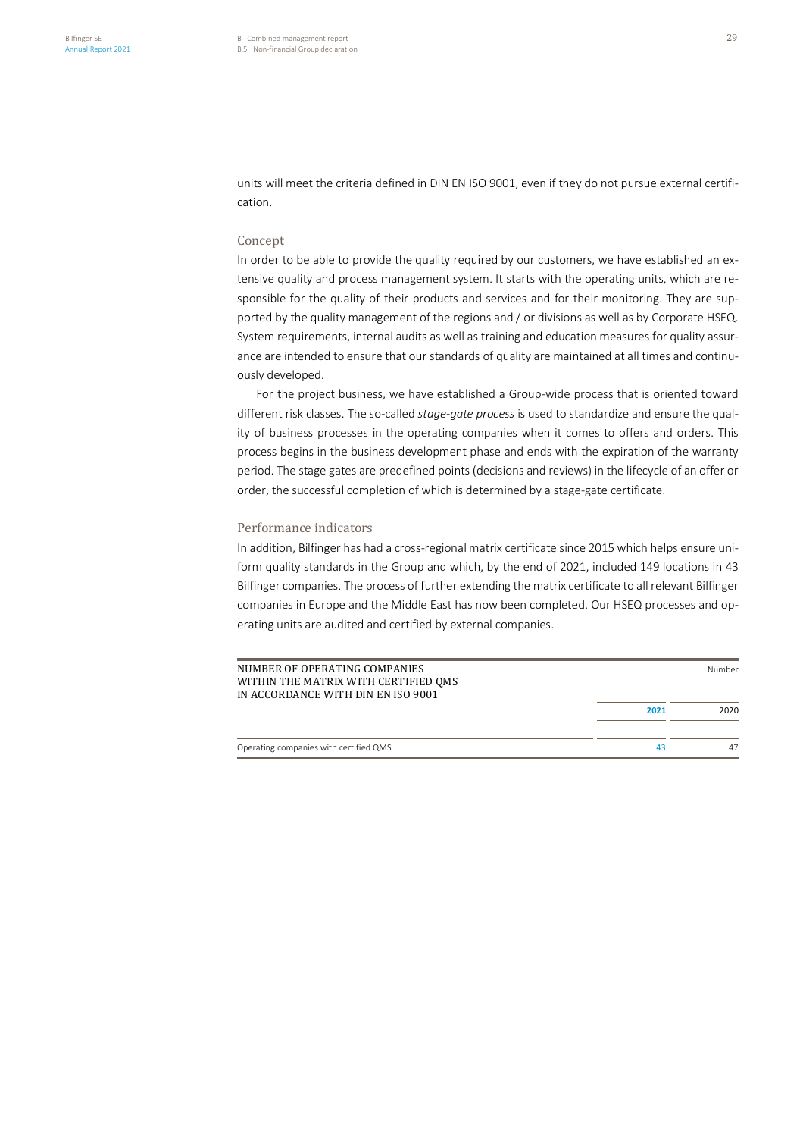units will meet the criteria defined in DIN EN ISO 9001, even if they do not pursue external certification.

## Concept

In order to be able to provide the quality required by our customers, we have established an extensive quality and process management system. It starts with the operating units, which are responsible for the quality of their products and services and for their monitoring. They are supported by the quality management of the regions and / or divisions as well as by Corporate HSEQ. System requirements, internal audits as well as training and education measures for quality assurance are intended to ensure that our standards of quality are maintained at all times and continuously developed.

For the project business, we have established a Group-wide process that is oriented toward different risk classes. The so-called *stage-gate process* is used to standardize and ensure the quality of business processes in the operating companies when it comes to offers and orders. This process begins in the business development phase and ends with the expiration of the warranty period. The stage gates are predefined points (decisions and reviews) in the lifecycle of an offer or order, the successful completion of which is determined by a stage-gate certificate.

## Performance indicators

In addition, Bilfinger has had a cross-regional matrix certificate since 2015 which helps ensure uniform quality standards in the Group and which, by the end of 2021, included 149 locations in 43 Bilfinger companies. The process of further extending the matrix certificate to all relevant Bilfinger companies in Europe and the Middle East has now been completed. Our HSEQ processes and operating units are audited and certified by external companies.

| NUMBER OF OPERATING COMPANIES<br>WITHIN THE MATRIX WITH CERTIFIED OMS<br>IN ACCORDANCE WITH DIN EN ISO 9001 |      | Number |
|-------------------------------------------------------------------------------------------------------------|------|--------|
|                                                                                                             | 2021 | 2020   |
| Operating companies with certified QMS                                                                      | 43   | 47     |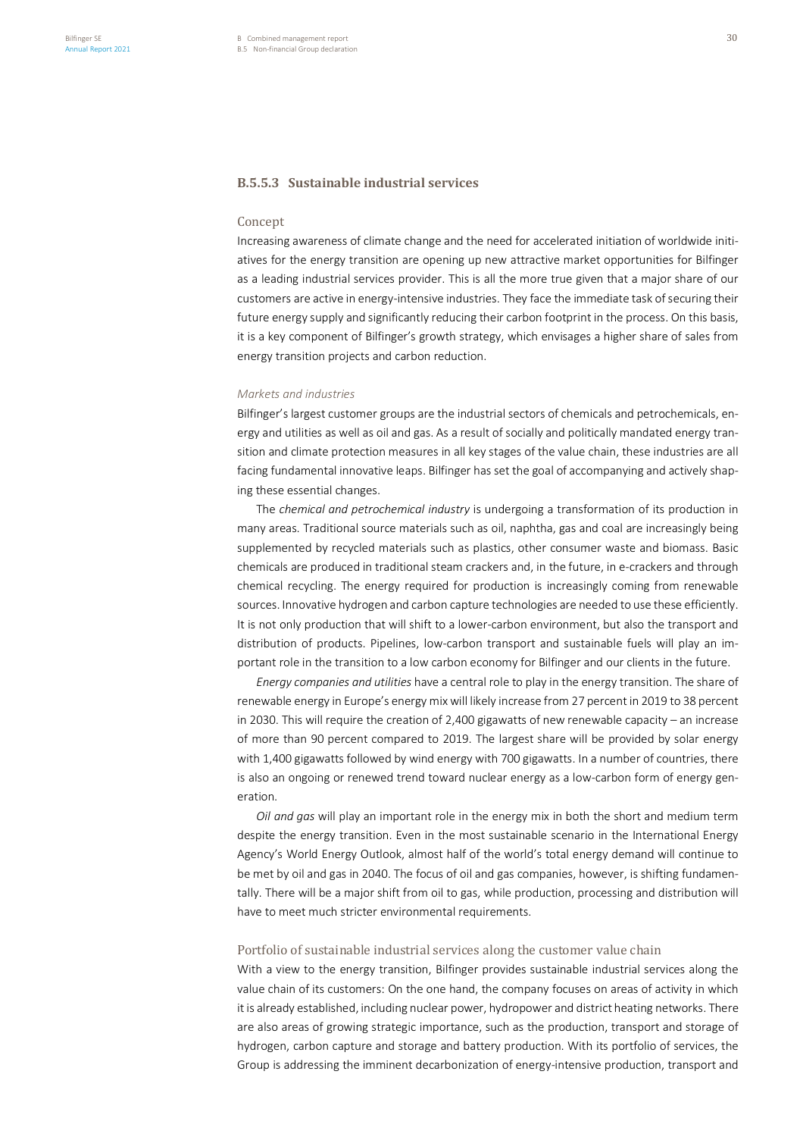## **B.5.5.3** Sustainable industrial services

### Concept

Increasing awareness of climate change and the need for accelerated initiation of worldwide initiatives for the energy transition are opening up new attractive market opportunities for Bilfinger as a leading industrial services provider. This is all the more true given that a major share of our customers are active in energy-intensive industries. They face the immediate task of securing their future energy supply and significantly reducing their carbon footprint in the process. On this basis, it is a key component of Bilfinger's growth strategy, which envisages a higher share of sales from energy transition projects and carbon reduction.

## *Markets and industries*

Bilfinger's largest customer groups are the industrial sectors of chemicals and petrochemicals, energy and utilities as well as oil and gas. As a result of socially and politically mandated energy transition and climate protection measures in all key stages of the value chain, these industries are all facing fundamental innovative leaps. Bilfinger has set the goal of accompanying and actively shaping these essential changes.

The *chemical and petrochemical industry* is undergoing a transformation of its production in many areas. Traditional source materials such as oil, naphtha, gas and coal are increasingly being supplemented by recycled materials such as plastics, other consumer waste and biomass. Basic chemicals are produced in traditional steam crackers and, in the future, in e-crackers and through chemical recycling. The energy required for production is increasingly coming from renewable sources. Innovative hydrogen and carbon capture technologies are needed to use these efficiently. It is not only production that will shift to a lower-carbon environment, but also the transport and distribution of products. Pipelines, low-carbon transport and sustainable fuels will play an important role in the transition to a low carbon economy for Bilfinger and our clients in the future.

*Energy companies and utilities* have a central role to play in the energy transition. The share of renewable energy in Europe's energy mix will likely increase from 27 percent in 2019 to 38 percent in 2030. This will require the creation of 2,400 gigawatts of new renewable capacity – an increase of more than 90 percent compared to 2019. The largest share will be provided by solar energy with 1,400 gigawatts followed by wind energy with 700 gigawatts. In a number of countries, there is also an ongoing or renewed trend toward nuclear energy as a low-carbon form of energy generation.

*Oil and gas* will play an important role in the energy mix in both the short and medium term despite the energy transition. Even in the most sustainable scenario in the International Energy Agency's World Energy Outlook, almost half of the world's total energy demand will continue to be met by oil and gas in 2040. The focus of oil and gas companies, however, is shifting fundamentally. There will be a major shift from oil to gas, while production, processing and distribution will have to meet much stricter environmental requirements.

## Portfolio of sustainable industrial services along the customer value chain

With a view to the energy transition, Bilfinger provides sustainable industrial services along the value chain of its customers: On the one hand, the company focuses on areas of activity in which it is already established, including nuclear power, hydropower and district heating networks. There are also areas of growing strategic importance, such as the production, transport and storage of hydrogen, carbon capture and storage and battery production. With its portfolio of services, the Group is addressing the imminent decarbonization of energy-intensive production, transport and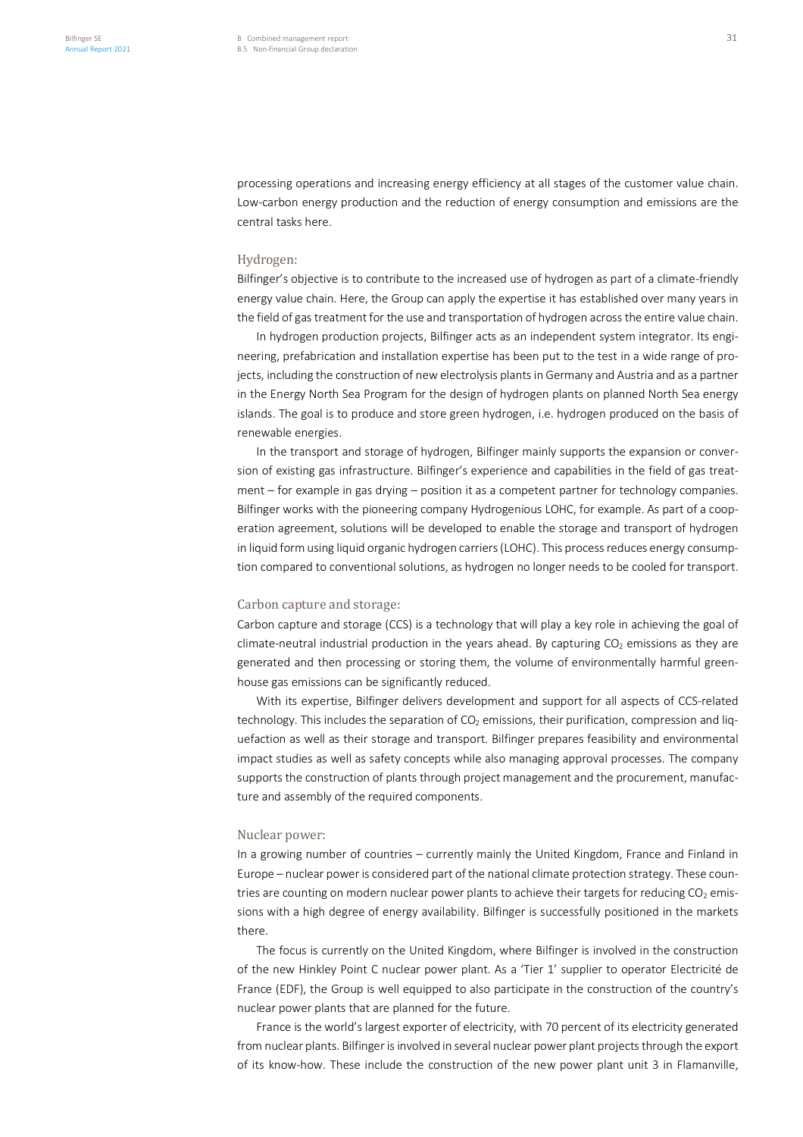processing operations and increasing energy efficiency at all stages of the customer value chain. Low-carbon energy production and the reduction of energy consumption and emissions are the central tasks here.

### Hydrogen:

Bilfinger's objective is to contribute to the increased use of hydrogen as part of a climate-friendly energy value chain. Here, the Group can apply the expertise it has established over many years in the field of gas treatment for the use and transportation of hydrogen across the entire value chain.

In hydrogen production projects, Bilfinger acts as an independent system integrator. Its engineering, prefabrication and installation expertise has been put to the test in a wide range of projects, including the construction of new electrolysis plants in Germany and Austria and as a partner in the Energy North Sea Program for the design of hydrogen plants on planned North Sea energy islands. The goal is to produce and store green hydrogen, i.e. hydrogen produced on the basis of renewable energies.

In the transport and storage of hydrogen, Bilfinger mainly supports the expansion or conversion of existing gas infrastructure. Bilfinger's experience and capabilities in the field of gas treatment – for example in gas drying – position it as a competent partner for technology companies. Bilfinger works with the pioneering company Hydrogenious LOHC, for example. As part of a cooperation agreement, solutions will be developed to enable the storage and transport of hydrogen in liquid form using liquid organic hydrogen carriers (LOHC). This process reduces energy consumption compared to conventional solutions, as hydrogen no longer needs to be cooled for transport.

### Carbon capture and storage:

Carbon capture and storage (CCS) is a technology that will play a key role in achieving the goal of climate-neutral industrial production in the years ahead. By capturing  $CO<sub>2</sub>$  emissions as they are generated and then processing or storing them, the volume of environmentally harmful greenhouse gas emissions can be significantly reduced.

With its expertise, Bilfinger delivers development and support for all aspects of CCS-related technology. This includes the separation of  $CO<sub>2</sub>$  emissions, their purification, compression and liguefaction as well as their storage and transport. Bilfinger prepares feasibility and environmental impact studies as well as safety concepts while also managing approval processes. The company supports the construction of plants through project management and the procurement, manufacture and assembly of the required components.

### Nuclear power:

In a growing number of countries – currently mainly the United Kingdom, France and Finland in Europe – nuclear power is considered part of the national climate protection strategy. These countries are counting on modern nuclear power plants to achieve their targets for reducing  $CO<sub>2</sub>$  emissions with a high degree of energy availability. Bilfinger is successfully positioned in the markets there.

The focus is currently on the United Kingdom, where Bilfinger is involved in the construction of the new Hinkley Point C nuclear power plant. As a 'Tier 1' supplier to operator Electricité de France (EDF), the Group is well equipped to also participate in the construction of the country's nuclear power plants that are planned for the future.

France is the world's largest exporter of electricity, with 70 percent of its electricity generated from nuclear plants. Bilfinger is involved in several nuclear power plant projects through the export of its know-how. These include the construction of the new power plant unit 3 in Flamanville,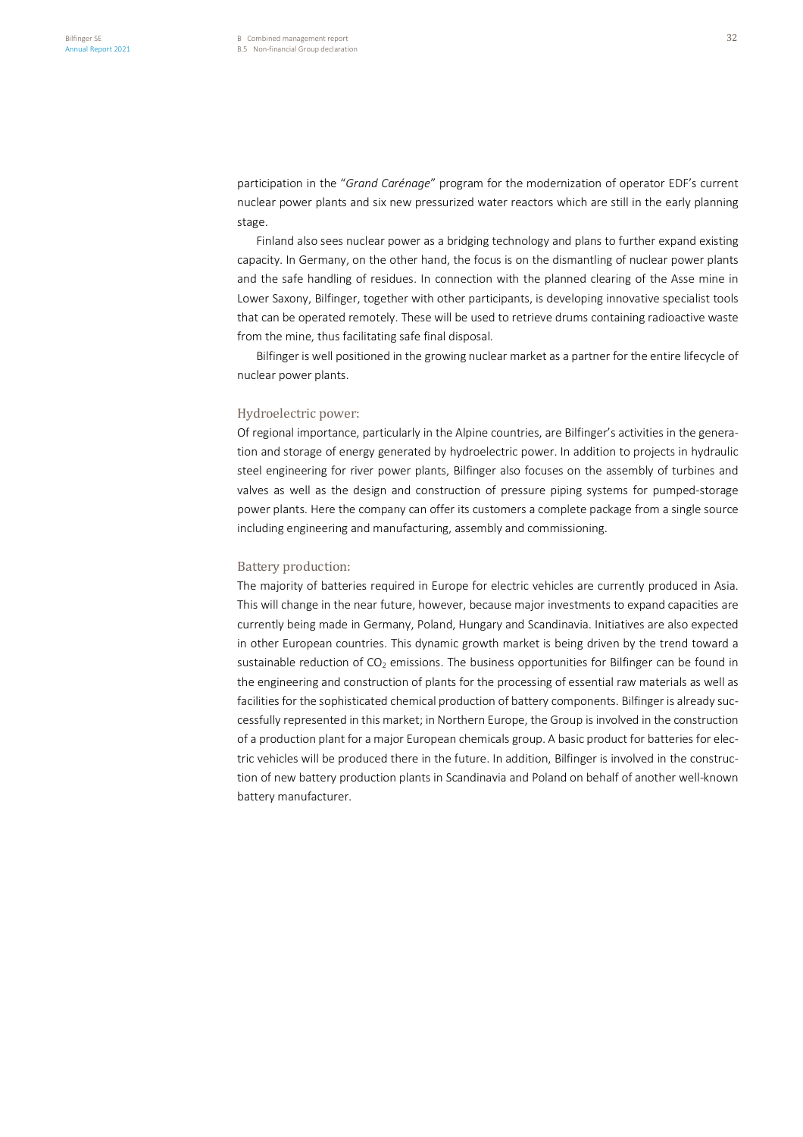participation in the "*Grand Carénage*" program for the modernization of operator EDF's current nuclear power plants and six new pressurized water reactors which are still in the early planning stage.

Finland also sees nuclear power as a bridging technology and plans to further expand existing capacity. In Germany, on the other hand, the focus is on the dismantling of nuclear power plants and the safe handling of residues. In connection with the planned clearing of the Asse mine in Lower Saxony, Bilfinger, together with other participants, is developing innovative specialist tools that can be operated remotely. These will be used to retrieve drums containing radioactive waste from the mine, thus facilitating safe final disposal.

Bilfinger is well positioned in the growing nuclear market as a partner for the entire lifecycle of nuclear power plants.

## Hydroelectric power:

Of regional importance, particularly in the Alpine countries, are Bilfinger's activities in the generation and storage of energy generated by hydroelectric power. In addition to projects in hydraulic steel engineering for river power plants, Bilfinger also focuses on the assembly of turbines and valves as well as the design and construction of pressure piping systems for pumped-storage power plants. Here the company can offer its customers a complete package from a single source including engineering and manufacturing, assembly and commissioning.

## Battery production:

The majority of batteries required in Europe for electric vehicles are currently produced in Asia. This will change in the near future, however, because major investments to expand capacities are currently being made in Germany, Poland, Hungary and Scandinavia. Initiatives are also expected in other European countries. This dynamic growth market is being driven by the trend toward a sustainable reduction of  $CO<sub>2</sub>$  emissions. The business opportunities for Bilfinger can be found in the engineering and construction of plants for the processing of essential raw materials as well as facilities for the sophisticated chemical production of battery components. Bilfinger is already successfully represented in this market; in Northern Europe, the Group is involved in the construction of a production plant for a major European chemicals group. A basic product for batteries for electric vehicles will be produced there in the future. In addition, Bilfinger is involved in the construction of new battery production plants in Scandinavia and Poland on behalf of another well-known battery manufacturer.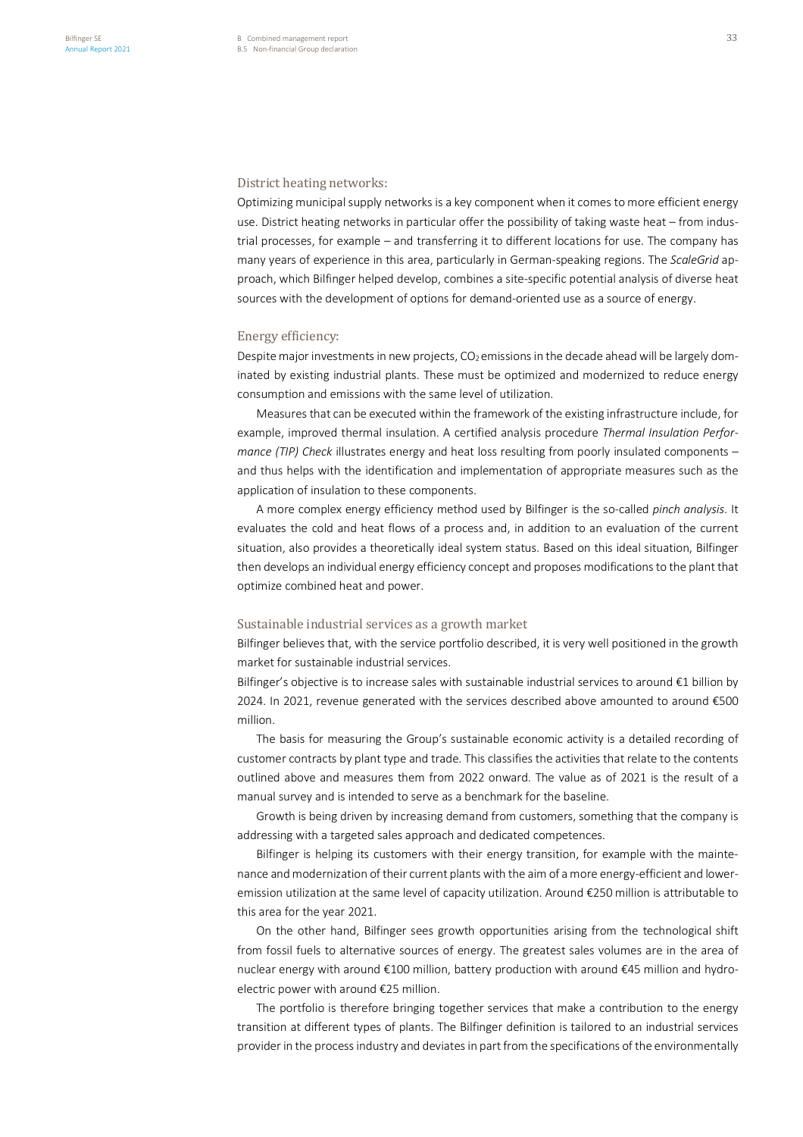Optimizing municipal supply networks is a key component when it comes to more efficient energy use. District heating networks in particular offer the possibility of taking waste heat – from industrial processes, for example – and transferring it to different locations for use. The company has many years of experience in this area, particularly in German-speaking regions. The *ScaleGrid* approach, which Bilfinger helped develop, combines a site-specific potential analysis of diverse heat sources with the development of options for demand-oriented use as a source of energy.

### Energy efficiency:

Despite major investments in new projects,  $CO<sub>2</sub>$  emissions in the decade ahead will be largely dominated by existing industrial plants. These must be optimized and modernized to reduce energy consumption and emissions with the same level of utilization.

Measures that can be executed within the framework of the existing infrastructure include, for example, improved thermal insulation. A certified analysis procedure *Thermal Insulation Performance (TIP) Check* illustrates energy and heat loss resulting from poorly insulated components – and thus helps with the identification and implementation of appropriate measures such as the application of insulation to these components.

A more complex energy efficiency method used by Bilfinger is the so-called *pinch analysis*. It evaluates the cold and heat flows of a process and, in addition to an evaluation of the current situation, also provides a theoretically ideal system status. Based on this ideal situation, Bilfinger then develops an individual energy efficiency concept and proposes modifications to the plant that optimize combined heat and power.

#### Sustainable industrial services as a growth market

Bilfinger believes that, with the service portfolio described, it is very well positioned in the growth market for sustainable industrial services.

Bilfinger's objective is to increase sales with sustainable industrial services to around €1 billion by 2024. In 2021, revenue generated with the services described above amounted to around €500 million.

The basis for measuring the Group's sustainable economic activity is a detailed recording of customer contracts by plant type and trade. This classifies the activities that relate to the contents outlined above and measures them from 2022 onward. The value as of 2021 is the result of a manual survey and is intended to serve as a benchmark for the baseline.

Growth is being driven by increasing demand from customers, something that the company is addressing with a targeted sales approach and dedicated competences.

Bilfinger is helping its customers with their energy transition, for example with the maintenance and modernization of their current plants with the aim of a more energy-efficient and loweremission utilization at the same level of capacity utilization. Around €250 million is attributable to this area for the year 2021.

On the other hand, Bilfinger sees growth opportunities arising from the technological shift from fossil fuels to alternative sources of energy. The greatest sales volumes are in the area of nuclear energy with around €100 million, battery production with around €45 million and hydroelectric power with around €25 million.

The portfolio is therefore bringing together services that make a contribution to the energy transition at different types of plants. The Bilfinger definition is tailored to an industrial services provider in the process industry and deviates in part from the specifications of the environmentally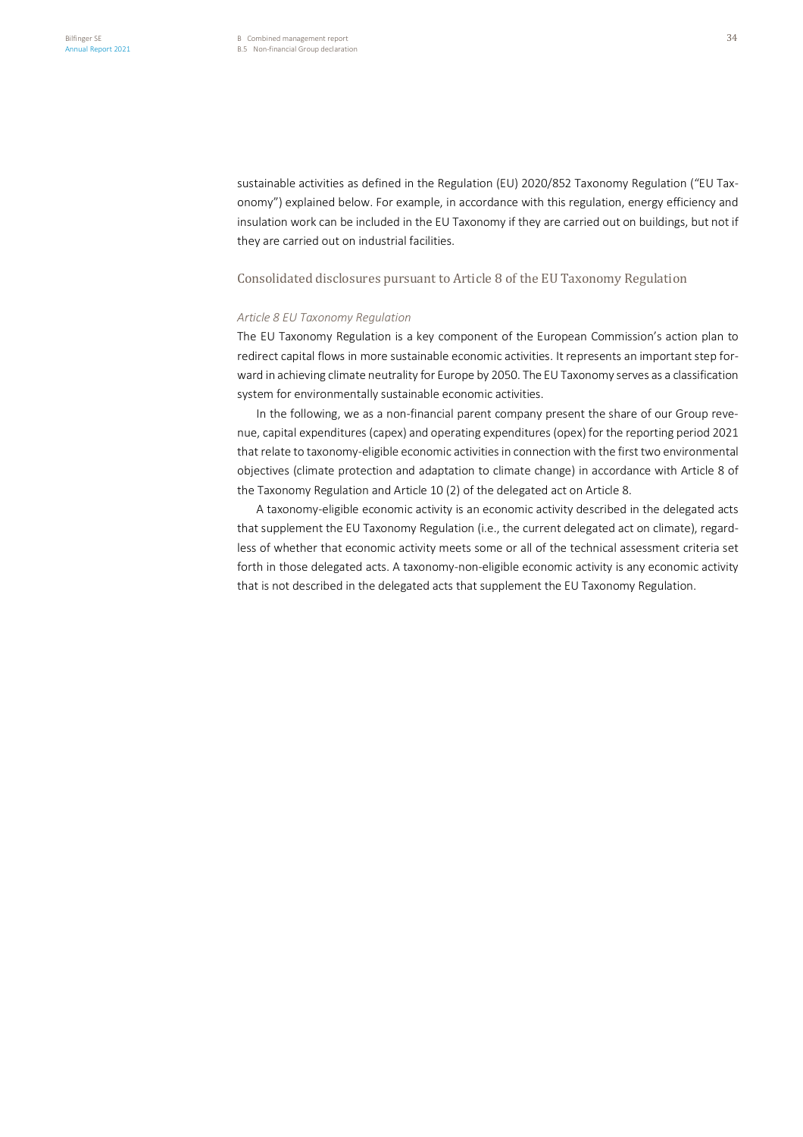sustainable activities as defined in the Regulation (EU) 2020/852 Taxonomy Regulation ("EU Taxonomy") explained below. For example, in accordance with this regulation, energy efficiency and insulation work can be included in the EU Taxonomy if they are carried out on buildings, but not if they are carried out on industrial facilities.

### Consolidated disclosures pursuant to Article 8 of the EU Taxonomy Regulation

## *Article 8 EU Taxonomy Regulation*

The EU Taxonomy Regulation is a key component of the European Commission's action plan to redirect capital flows in more sustainable economic activities. It represents an important step forward in achieving climate neutrality for Europe by 2050. The EU Taxonomy serves as a classification system for environmentally sustainable economic activities.

In the following, we as a non-financial parent company present the share of our Group revenue, capital expenditures (capex) and operating expenditures (opex) for the reporting period 2021 that relate to taxonomy-eligible economic activities in connection with the first two environmental objectives (climate protection and adaptation to climate change) in accordance with Article 8 of the Taxonomy Regulation and Article 10 (2) of the delegated act on Article 8.

A taxonomy-eligible economic activity is an economic activity described in the delegated acts that supplement the EU Taxonomy Regulation (i.e., the current delegated act on climate), regardless of whether that economic activity meets some or all of the technical assessment criteria set forth in those delegated acts. A taxonomy-non-eligible economic activity is any economic activity that is not described in the delegated acts that supplement the EU Taxonomy Regulation.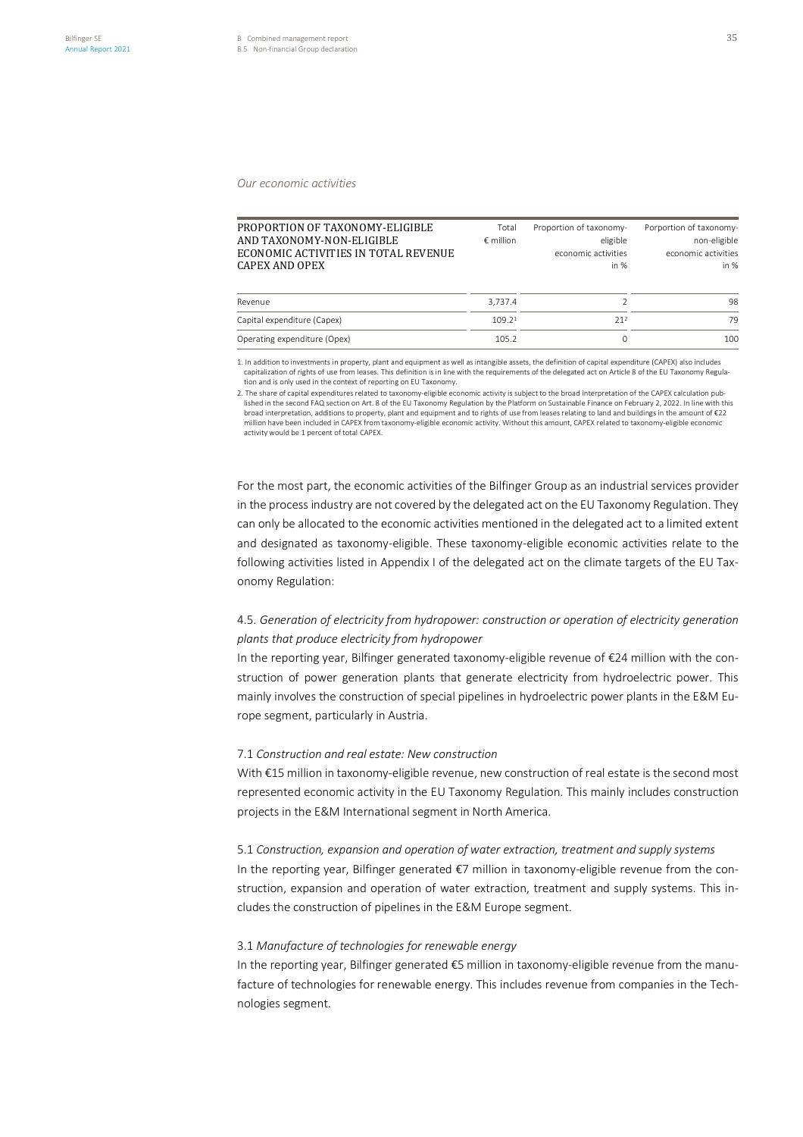#### *Our economic activities*

| PROPORTION OF TAXONOMY-ELIGIBLE<br>AND TAXONOMY-NON-ELIGIBLE<br>ECONOMIC ACTIVITIES IN TOTAL REVENUE<br>CAPEX AND OPEX | Total<br>$\epsilon$ million | Proportion of taxonomy-<br>eligible<br>economic activities<br>in $%$ | Porportion of taxonomy-<br>non-eligible<br>economic activities<br>in $%$ |
|------------------------------------------------------------------------------------------------------------------------|-----------------------------|----------------------------------------------------------------------|--------------------------------------------------------------------------|
| Revenue                                                                                                                | 3.737.4                     |                                                                      | 98                                                                       |
| Capital expenditure (Capex)                                                                                            | 109.2 <sup>1</sup>          | 21 <sup>2</sup>                                                      | 79                                                                       |
| Operating expenditure (Opex)                                                                                           | 105.2                       | $\Omega$                                                             | 100                                                                      |

1. In addition to investments in property, plant and equipment as well as intangible assets, the definition of capital expenditure (CAPEX) also includes capitalization of rights of use from leases. This definition is in line with the requirements of the delegated act on Article 8 of the EU Taxonomy Regulation and is only used in the context of reporting on EU Taxonomy.

2. The share of capital expenditures related to taxonomy-eligible economic activity is subject to the broad interpretation of the CAPEX calculation published in the second FAQ section on Art. 8 of the EU Taxonomy Regulation by the Platform on Sustainable Finance on February 2, 2022. In line with this broad interpretation, additions to property, plant and equipment and to rights of use from leases relating to land and buildings in the amount of €22 million have been included in CAPEX from taxonomy-eligible economic activity. Without this amount, CAPEX related to taxonomy-eligible economic activity would be 1 percent of total CAPEX.

For the most part, the economic activities of the Bilfinger Group as an industrial services provider in the process industry are not covered by the delegated act on the EU Taxonomy Regulation. They can only be allocated to the economic activities mentioned in the delegated act to a limited extent and designated as taxonomy-eligible. These taxonomy-eligible economic activities relate to the following activities listed in Appendix I of the delegated act on the climate targets of the EU Taxonomy Regulation:

## 4.5. *Generation of electricity from hydropower: construction or operation of electricity generation plants that produce electricity from hydropower*

In the reporting year, Bilfinger generated taxonomy-eligible revenue of €24 million with the construction of power generation plants that generate electricity from hydroelectric power. This mainly involves the construction of special pipelines in hydroelectric power plants in the E&M Europe segment, particularly in Austria.

### 7.1 *Construction and real estate: New construction*

With €15 million in taxonomy-eligible revenue, new construction of real estate is the second most represented economic activity in the EU Taxonomy Regulation. This mainly includes construction projects in the E&M International segment in North America.

5.1 *Construction, expansion and operation of water extraction, treatment and supply systems* In the reporting year, Bilfinger generated €7 million in taxonomy-eligible revenue from the construction, expansion and operation of water extraction, treatment and supply systems. This includes the construction of pipelines in the E&M Europe segment.

### 3.1 *Manufacture of technologies for renewable energy*

In the reporting year, Bilfinger generated €5 million in taxonomy-eligible revenue from the manufacture of technologies for renewable energy. This includes revenue from companies in the Technologies segment.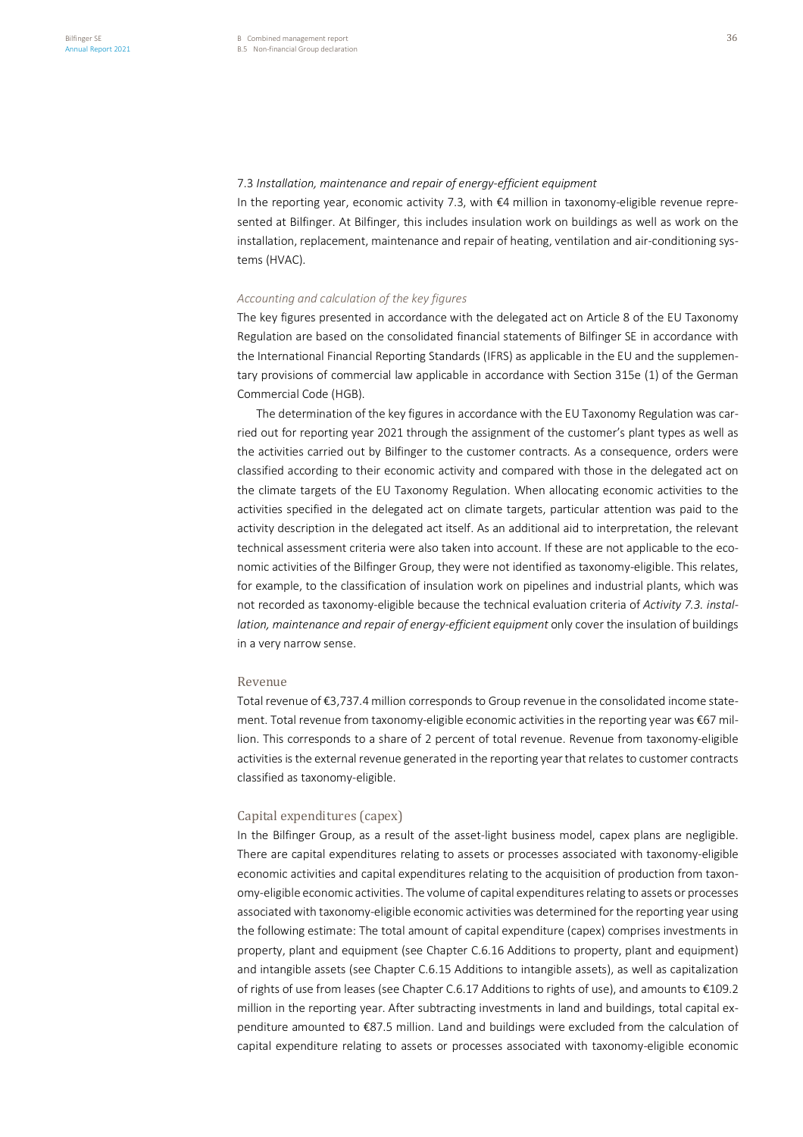## 7.3 *Installation, maintenance and repair of energy-efficient equipment*

In the reporting year, economic activity 7.3, with €4 million in taxonomy-eligible revenue represented at Bilfinger. At Bilfinger, this includes insulation work on buildings as well as work on the installation, replacement, maintenance and repair of heating, ventilation and air-conditioning systems (HVAC).

### *Accounting and calculation of the key figures*

The key figures presented in accordance with the delegated act on Article 8 of the EU Taxonomy Regulation are based on the consolidated financial statements of Bilfinger SE in accordance with the International Financial Reporting Standards (IFRS) as applicable in the EU and the supplementary provisions of commercial law applicable in accordance with Section 315e (1) of the German Commercial Code (HGB).

The determination of the key figures in accordance with the EU Taxonomy Regulation was carried out for reporting year 2021 through the assignment of the customer's plant types as well as the activities carried out by Bilfinger to the customer contracts. As a consequence, orders were classified according to their economic activity and compared with those in the delegated act on the climate targets of the EU Taxonomy Regulation. When allocating economic activities to the activities specified in the delegated act on climate targets, particular attention was paid to the activity description in the delegated act itself. As an additional aid to interpretation, the relevant technical assessment criteria were also taken into account. If these are not applicable to the economic activities of the Bilfinger Group, they were not identified as taxonomy-eligible. This relates, for example, to the classification of insulation work on pipelines and industrial plants, which was not recorded as taxonomy-eligible because the technical evaluation criteria of *Activity 7.3. installation, maintenance and repair of energy-efficient equipment* only cover the insulation of buildings in a very narrow sense.

### Revenue

Total revenue of €3,737.4 million corresponds to Group revenue in the consolidated income statement. Total revenue from taxonomy-eligible economic activities in the reporting year was €67 million. This corresponds to a share of 2 percent of total revenue. Revenue from taxonomy-eligible activities is the external revenue generated in the reporting year that relates to customer contracts classified as taxonomy-eligible.

## Capital expenditures (capex)

In the Bilfinger Group, as a result of the asset-light business model, capex plans are negligible. There are capital expenditures relating to assets or processes associated with taxonomy-eligible economic activities and capital expenditures relating to the acquisition of production from taxonomy-eligible economic activities. The volume of capital expenditures relating to assets or processes associated with taxonomy-eligible economic activities was determined for the reporting year using the following estimate: The total amount of capital expenditure (capex) comprises investments in property, plant and equipment (see Chapter C.6.16 Additions to property, plant and equipment) and intangible assets (see Chapter C.6.15 Additions to intangible assets), as well as capitalization of rights of use from leases (see Chapter C.6.17 Additions to rights of use), and amounts to €109.2 million in the reporting year. After subtracting investments in land and buildings, total capital expenditure amounted to €87.5 million. Land and buildings were excluded from the calculation of capital expenditure relating to assets or processes associated with taxonomy-eligible economic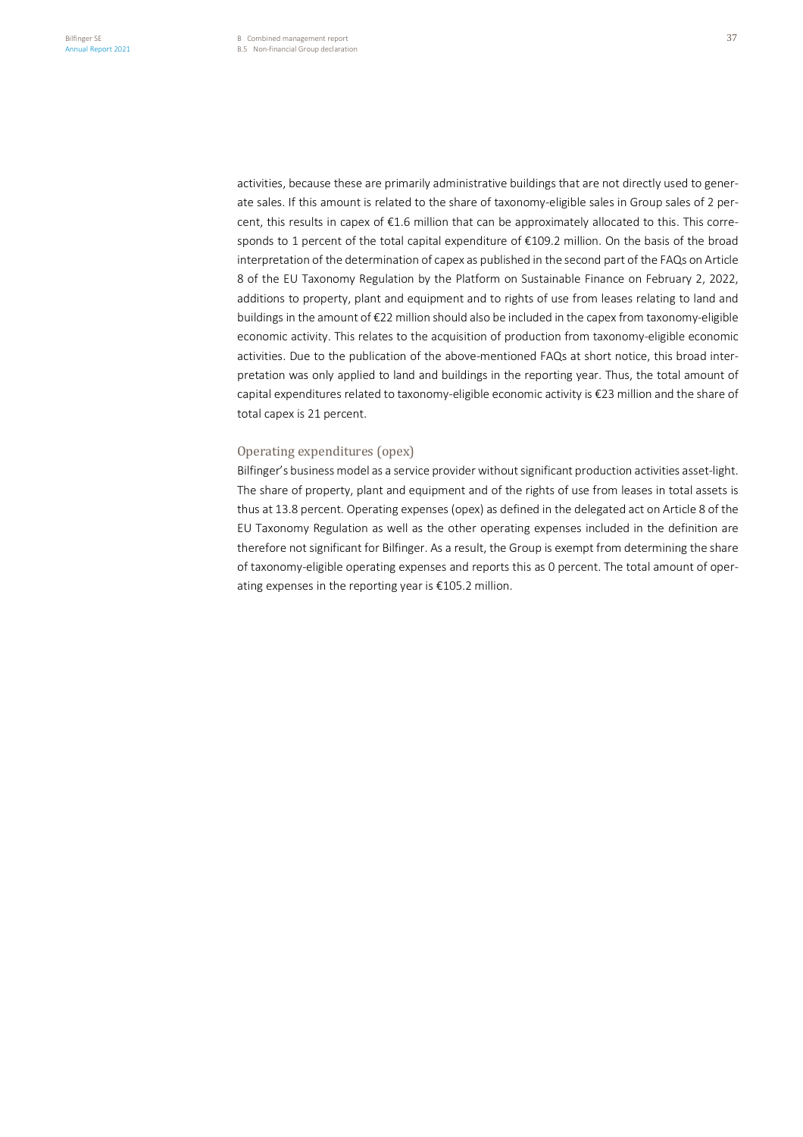activities, because these are primarily administrative buildings that are not directly used to generate sales. If this amount is related to the share of taxonomy-eligible sales in Group sales of 2 percent, this results in capex of €1.6 million that can be approximately allocated to this. This corresponds to 1 percent of the total capital expenditure of €109.2 million. On the basis of the broad interpretation of the determination of capex as published in the second part of the FAQs on Article 8 of the EU Taxonomy Regulation by the Platform on Sustainable Finance on February 2, 2022, additions to property, plant and equipment and to rights of use from leases relating to land and buildings in the amount of €22 million should also be included in the capex from taxonomy-eligible economic activity. This relates to the acquisition of production from taxonomy-eligible economic activities. Due to the publication of the above-mentioned FAQs at short notice, this broad interpretation was only applied to land and buildings in the reporting year. Thus, the total amount of capital expenditures related to taxonomy-eligible economic activity is €23 million and the share of total capex is 21 percent.

## Operating expenditures (opex)

Bilfinger's business model as a service provider without significant production activities asset-light. The share of property, plant and equipment and of the rights of use from leases in total assets is thus at 13.8 percent. Operating expenses (opex) as defined in the delegated act on Article 8 of the EU Taxonomy Regulation as well as the other operating expenses included in the definition are therefore not significant for Bilfinger. As a result, the Group is exempt from determining the share of taxonomy-eligible operating expenses and reports this as 0 percent. The total amount of operating expenses in the reporting year is €105.2 million.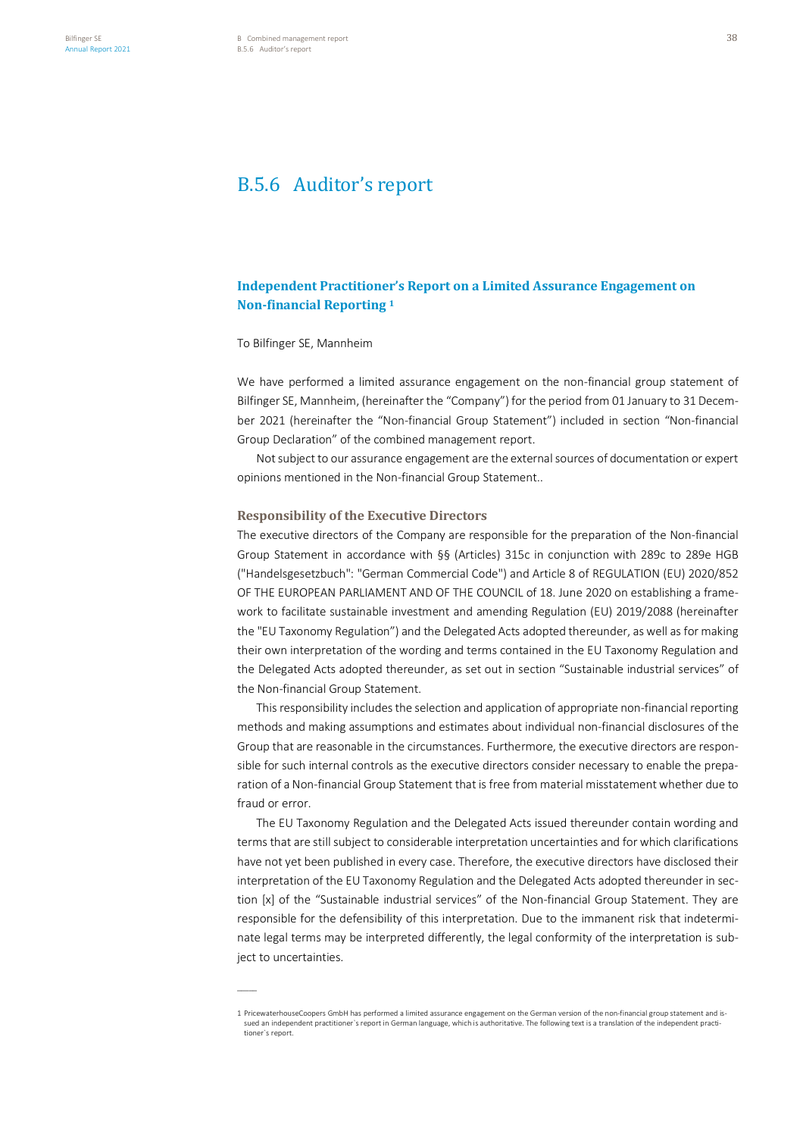# B.5.6 Auditor's report

## **Independent Practitioner's Report on a Limited Assurance Engagement on Non-financial Reporting**<sup>1</sup>

#### To Bilfinger SE, Mannheim

–––––

We have performed a limited assurance engagement on the non-financial group statement of Bilfinger SE, Mannheim, (hereinafter the "Company") for the period from 01 January to 31 December 2021 (hereinafter the "Non-financial Group Statement") included in section "Non-financial Group Declaration" of the combined management report.

Not subject to our assurance engagement are the external sources of documentation or expert opinions mentioned in the Non-financial Group Statement..

### **Responsibility of the Executive Directors**

The executive directors of the Company are responsible for the preparation of the Non-financial Group Statement in accordance with §§ (Articles) 315c in conjunction with 289c to 289e HGB ("Handelsgesetzbuch": "German Commercial Code") and Article 8 of REGULATION (EU) 2020/852 OF THE EUROPEAN PARLIAMENT AND OF THE COUNCIL of 18. June 2020 on establishing a framework to facilitate sustainable investment and amending Regulation (EU) 2019/2088 (hereinafter the "EU Taxonomy Regulation") and the Delegated Acts adopted thereunder, as well as for making their own interpretation of the wording and terms contained in the EU Taxonomy Regulation and the Delegated Acts adopted thereunder, as set out in section "Sustainable industrial services" of the Non-financial Group Statement.

This responsibility includes the selection and application of appropriate non-financial reporting methods and making assumptions and estimates about individual non-financial disclosures of the Group that are reasonable in the circumstances. Furthermore, the executive directors are responsible for such internal controls as the executive directors consider necessary to enable the preparation of a Non-financial Group Statement that is free from material misstatement whether due to fraud or error.

The EU Taxonomy Regulation and the Delegated Acts issued thereunder contain wording and terms that are still subject to considerable interpretation uncertainties and for which clarifications have not yet been published in every case. Therefore, the executive directors have disclosed their interpretation of the EU Taxonomy Regulation and the Delegated Acts adopted thereunder in section [x] of the "Sustainable industrial services" of the Non-financial Group Statement. They are responsible for the defensibility of this interpretation. Due to the immanent risk that indeterminate legal terms may be interpreted differently, the legal conformity of the interpretation is subject to uncertainties.

<sup>1</sup> PricewaterhouseCoopers GmbH has performed a limited assurance engagement on the German version of the non-financial group statement and issued an independent practitioner`s report in German language, which is authoritative. The following text is a translation of the independent practitioner`s report.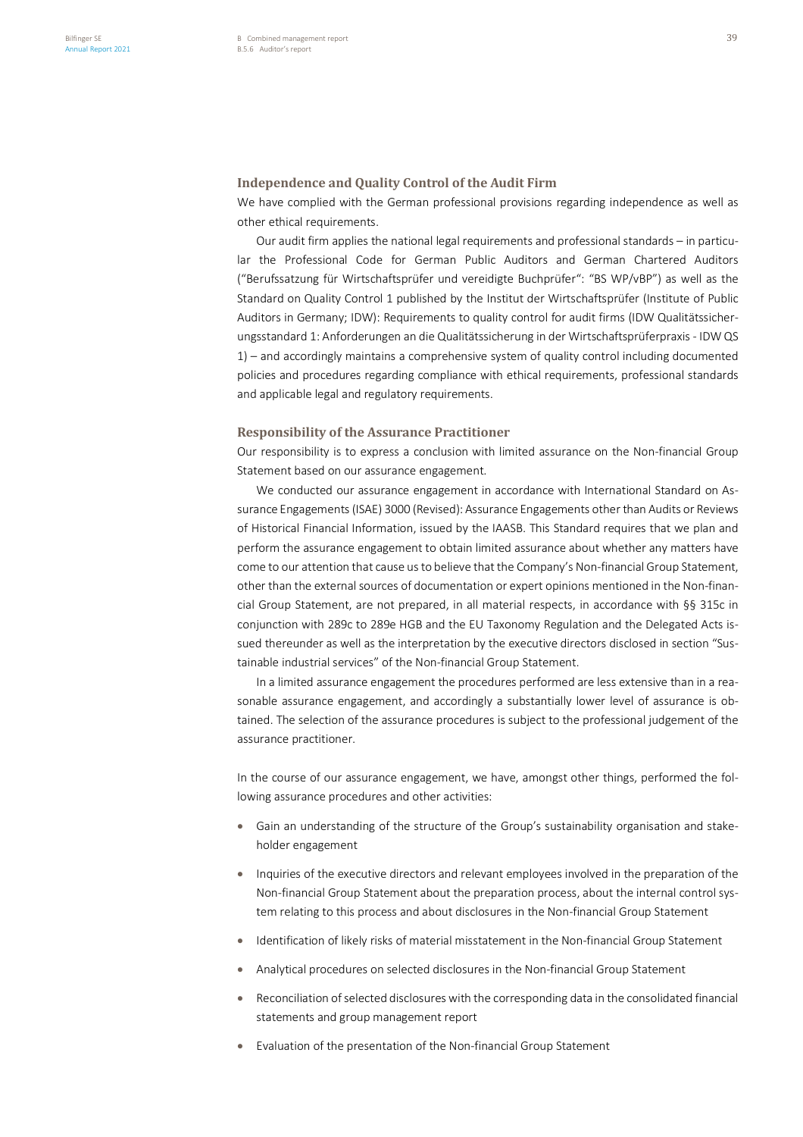## **Independence and Quality Control of the Audit Firm**

We have complied with the German professional provisions regarding independence as well as other ethical requirements.

Our audit firm applies the national legal requirements and professional standards – in particular the Professional Code for German Public Auditors and German Chartered Auditors ("Berufssatzung für Wirtschaftsprüfer und vereidigte Buchprüfer": "BS WP/vBP") as well as the Standard on Quality Control 1 published by the Institut der Wirtschaftsprüfer (Institute of Public Auditors in Germany; IDW): Requirements to quality control for audit firms (IDW Qualitätssicherungsstandard 1: Anforderungen an die Qualitätssicherung in der Wirtschaftsprüferpraxis - IDW QS 1) – and accordingly maintains a comprehensive system of quality control including documented policies and procedures regarding compliance with ethical requirements, professional standards and applicable legal and regulatory requirements.

### **Responsibility of the Assurance Practitioner**

Our responsibility is to express a conclusion with limited assurance on the Non-financial Group Statement based on our assurance engagement.

We conducted our assurance engagement in accordance with International Standard on Assurance Engagements (ISAE) 3000 (Revised): Assurance Engagements other than Audits or Reviews of Historical Financial Information, issued by the IAASB. This Standard requires that we plan and perform the assurance engagement to obtain limited assurance about whether any matters have come to our attention that cause us to believe that the Company's Non-financial Group Statement, other than the external sources of documentation or expert opinions mentioned in the Non-financial Group Statement, are not prepared, in all material respects, in accordance with §§ 315c in conjunction with 289c to 289e HGB and the EU Taxonomy Regulation and the Delegated Acts issued thereunder as well as the interpretation by the executive directors disclosed in section "Sustainable industrial services" of the Non-financial Group Statement.

In a limited assurance engagement the procedures performed are less extensive than in a reasonable assurance engagement, and accordingly a substantially lower level of assurance is obtained. The selection of the assurance procedures is subject to the professional judgement of the assurance practitioner.

In the course of our assurance engagement, we have, amongst other things, performed the following assurance procedures and other activities:

- Gain an understanding of the structure of the Group's sustainability organisation and stakeholder engagement
- Inquiries of the executive directors and relevant employees involved in the preparation of the Non-financial Group Statement about the preparation process, about the internal control system relating to this process and about disclosures in the Non-financial Group Statement
- Identification of likely risks of material misstatement in the Non-financial Group Statement
- Analytical procedures on selected disclosures in the Non-financial Group Statement
- Reconciliation of selected disclosures with the corresponding data in the consolidated financial statements and group management report
- Evaluation of the presentation of the Non-financial Group Statement